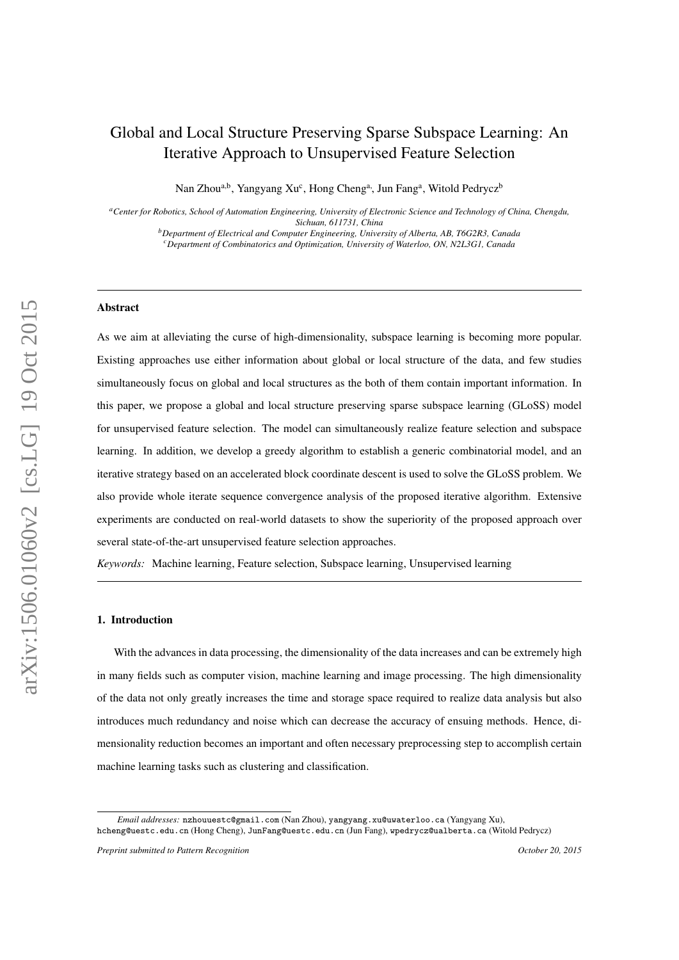# <span id="page-0-0"></span>Global and Local Structure Preserving Sparse Subspace Learning: An Iterative Approach to Unsupervised Feature Selection

Nan Zhou<sup>a,b</sup>, Yangyang Xu<sup>c</sup>, Hong Cheng<sup>a,</sup>, Jun Fang<sup>a</sup>, Witold Pedrycz<sup>b</sup>

*<sup>a</sup>Center for Robotics, School of Automation Engineering, University of Electronic Science and Technology of China, Chengdu, Sichuan, 611731, China*

*<sup>b</sup>Department of Electrical and Computer Engineering, University of Alberta, AB, T6G2R3, Canada <sup>c</sup>Department of Combinatorics and Optimization, University of Waterloo, ON, N2L3G1, Canada*

# **Abstract**

As we aim at alleviating the curse of high-dimensionality, subspace learning is becoming more popular. Existing approaches use either information about global or local structure of the data, and few studies simultaneously focus on global and local structures as the both of them contain important information. In this paper, we propose a global and local structure preserving sparse subspace learning (GLoSS) model for unsupervised feature selection. The model can simultaneously realize feature selection and subspace learning. In addition, we develop a greedy algorithm to establish a generic combinatorial model, and an iterative strategy based on an accelerated block coordinate descent is used to solve the GLoSS problem. We also provide whole iterate sequence convergence analysis of the proposed iterative algorithm. Extensive experiments are conducted on real-world datasets to show the superiority of the proposed approach over several state-of-the-art unsupervised feature selection approaches.

*Keywords:* Machine learning, Feature selection, Subspace learning, Unsupervised learning

#### 1. Introduction

With the advances in data processing, the dimensionality of the data increases and can be extremely high in many fields such as computer vision, machine learning and image processing. The high dimensionality of the data not only greatly increases the time and storage space required to realize data analysis but also introduces much redundancy and noise which can decrease the accuracy of ensuing methods. Hence, dimensionality reduction becomes an important and often necessary preprocessing step to accomplish certain machine learning tasks such as clustering and classification.

*Email addresses:* nzhouuestc@gmail.com (Nan Zhou), yangyang.xu@uwaterloo.ca (Yangyang Xu), hcheng@uestc.edu.cn (Hong Cheng), JunFang@uestc.edu.cn (Jun Fang), wpedrycz@ualberta.ca (Witold Pedrycz)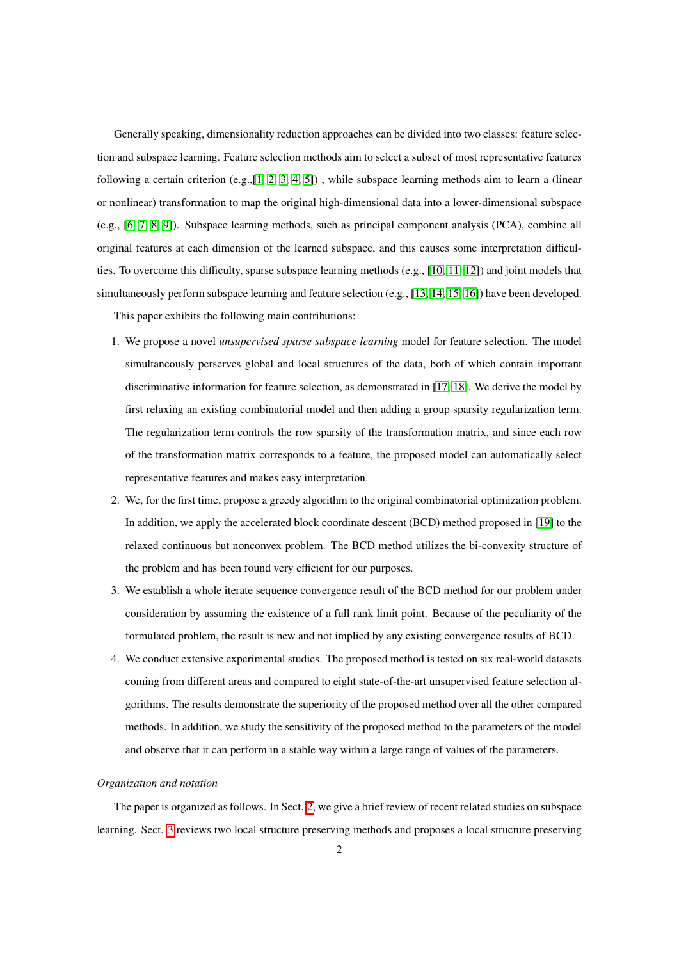Generally speaking, dimensionality reduction approaches can be divided into two classes: feature selection and subspace learning. Feature selection methods aim to select a subset of most representative features following a certain criterion (e.g.,[\[1,](#page-29-0) [2,](#page-29-1) [3,](#page-29-2) [4,](#page-29-3) [5\]](#page-29-4)) , while subspace learning methods aim to learn a (linear or nonlinear) transformation to map the original high-dimensional data into a lower-dimensional subspace (e.g., [\[6,](#page-29-5) [7,](#page-29-6) [8,](#page-29-7) [9\]](#page-29-8)). Subspace learning methods, such as principal component analysis (PCA), combine all original features at each dimension of the learned subspace, and this causes some interpretation difficulties. To overcome this difficulty, sparse subspace learning methods (e.g., [\[10,](#page-29-9) [11,](#page-29-10) [12\]](#page-29-11)) and joint models that simultaneously perform subspace learning and feature selection (e.g., [\[13,](#page-29-12) [14,](#page-29-13) [15,](#page-29-14) [16\]](#page-29-15)) have been developed.

This paper exhibits the following main contributions:

- 1. We propose a novel *unsupervised sparse subspace learning* model for feature selection. The model simultaneously perserves global and local structures of the data, both of which contain important discriminative information for feature selection, as demonstrated in [\[17,](#page-29-16) [18\]](#page-29-17). We derive the model by first relaxing an existing combinatorial model and then adding a group sparsity regularization term. The regularization term controls the row sparsity of the transformation matrix, and since each row of the transformation matrix corresponds to a feature, the proposed model can automatically select representative features and makes easy interpretation.
- 2. We, for the first time, propose a greedy algorithm to the original combinatorial optimization problem. In addition, we apply the accelerated block coordinate descent (BCD) method proposed in [\[19\]](#page-30-0) to the relaxed continuous but nonconvex problem. The BCD method utilizes the bi-convexity structure of the problem and has been found very efficient for our purposes.
- 3. We establish a whole iterate sequence convergence result of the BCD method for our problem under consideration by assuming the existence of a full rank limit point. Because of the peculiarity of the formulated problem, the result is new and not implied by any existing convergence results of BCD.
- 4. We conduct extensive experimental studies. The proposed method is tested on six real-world datasets coming from different areas and compared to eight state-of-the-art unsupervised feature selection algorithms. The results demonstrate the superiority of the proposed method over all the other compared methods. In addition, we study the sensitivity of the proposed method to the parameters of the model and observe that it can perform in a stable way within a large range of values of the parameters.

#### *Organization and notation*

The paper is organized as follows. In Sect. [2,](#page-2-0) we give a brief review of recent related studies on subspace learning. Sect. [3](#page-4-0) reviews two local structure preserving methods and proposes a local structure preserving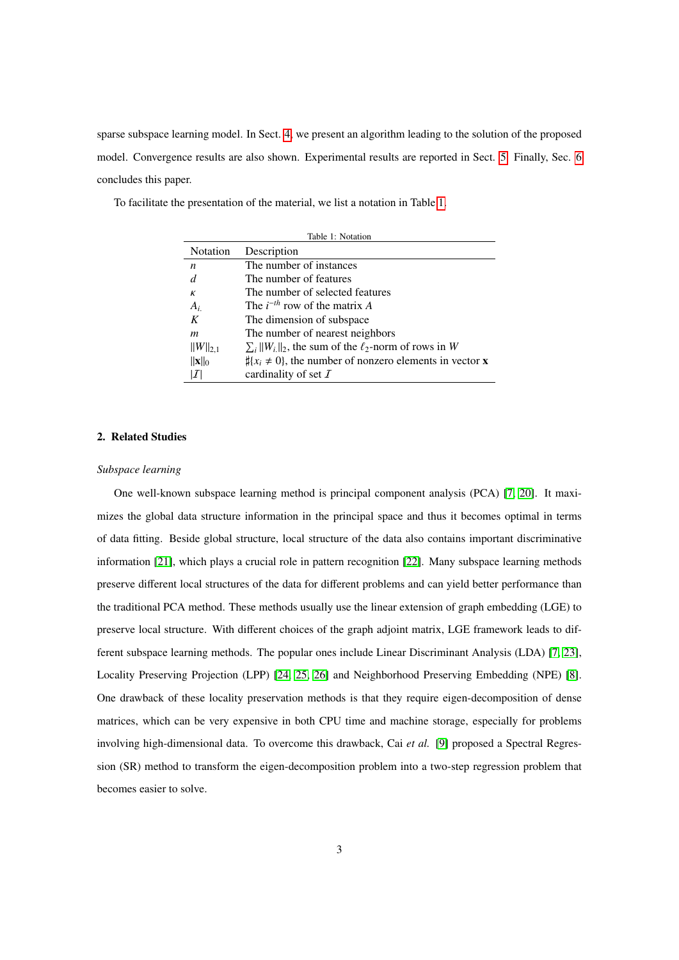sparse subspace learning model. In Sect. [4,](#page-9-0) we present an algorithm leading to the solution of the proposed model. Convergence results are also shown. Experimental results are reported in Sect. [5.](#page-16-0) Finally, Sec. [6](#page-21-0) concludes this paper.

<span id="page-2-1"></span>

| Table 1: Notation |                                                                             |  |  |  |  |
|-------------------|-----------------------------------------------------------------------------|--|--|--|--|
| Notation          | Description                                                                 |  |  |  |  |
| n                 | The number of instances                                                     |  |  |  |  |
| d                 | The number of features                                                      |  |  |  |  |
| К                 | The number of selected features                                             |  |  |  |  |
| $A_i$             | The $i^{-th}$ row of the matrix A                                           |  |  |  |  |
| K                 | The dimension of subspace                                                   |  |  |  |  |
| m                 | The number of nearest neighbors                                             |  |  |  |  |
| $  W  _{2,1}$     | $\sum_i   W_i  _2$ , the sum of the $\ell_2$ -norm of rows in W             |  |  |  |  |
| $\ x\ _0$         | $\sharp \{x_i \neq 0\}$ , the number of nonzero elements in vector <b>x</b> |  |  |  |  |
| I                 | cardinality of set $\mathcal I$                                             |  |  |  |  |

To facilitate the presentation of the material, we list a notation in Table [1.](#page-2-1)

## <span id="page-2-0"></span>2. Related Studies

## *Subspace learning*

One well-known subspace learning method is principal component analysis (PCA) [\[7,](#page-29-6) [20\]](#page-30-1). It maximizes the global data structure information in the principal space and thus it becomes optimal in terms of data fitting. Beside global structure, local structure of the data also contains important discriminative information [\[21\]](#page-30-2), which plays a crucial role in pattern recognition [\[22\]](#page-30-3). Many subspace learning methods preserve different local structures of the data for different problems and can yield better performance than the traditional PCA method. These methods usually use the linear extension of graph embedding (LGE) to preserve local structure. With different choices of the graph adjoint matrix, LGE framework leads to different subspace learning methods. The popular ones include Linear Discriminant Analysis (LDA) [\[7,](#page-29-6) [23\]](#page-30-4), Locality Preserving Projection (LPP) [\[24,](#page-30-5) [25,](#page-30-6) [26\]](#page-30-7) and Neighborhood Preserving Embedding (NPE) [\[8\]](#page-29-7). One drawback of these locality preservation methods is that they require eigen-decomposition of dense matrices, which can be very expensive in both CPU time and machine storage, especially for problems involving high-dimensional data. To overcome this drawback, Cai *et al.* [\[9\]](#page-29-8) proposed a Spectral Regression (SR) method to transform the eigen-decomposition problem into a two-step regression problem that becomes easier to solve.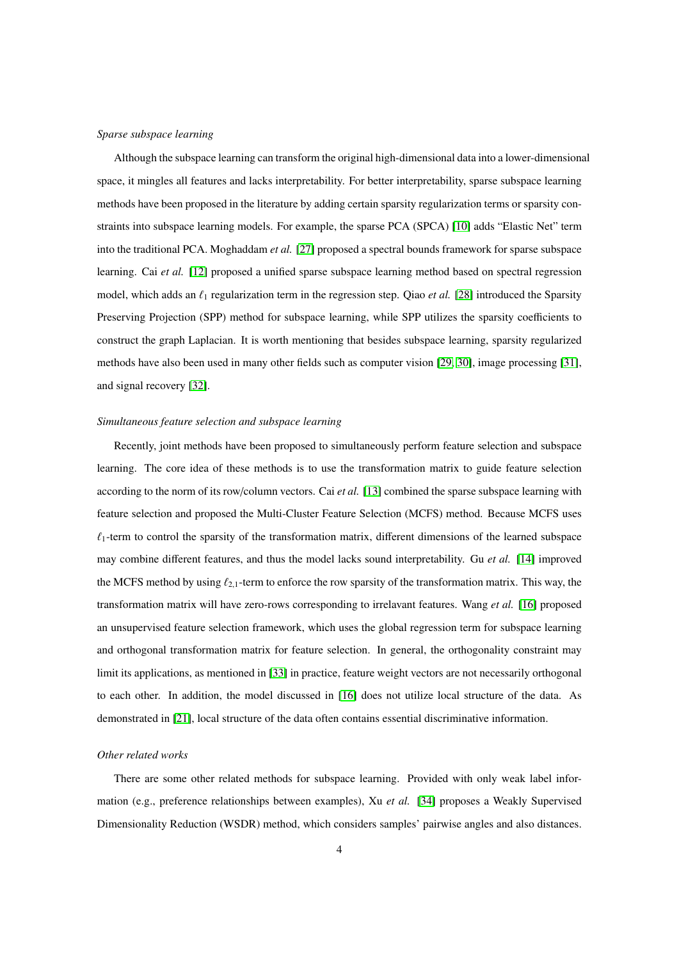## *Sparse subspace learning*

Although the subspace learning can transform the original high-dimensional data into a lower-dimensional space, it mingles all features and lacks interpretability. For better interpretability, sparse subspace learning methods have been proposed in the literature by adding certain sparsity regularization terms or sparsity constraints into subspace learning models. For example, the sparse PCA (SPCA) [\[10\]](#page-29-9) adds "Elastic Net" term into the traditional PCA. Moghaddam *et al.* [\[27\]](#page-30-8) proposed a spectral bounds framework for sparse subspace learning. Cai *et al.* [\[12\]](#page-29-11) proposed a unified sparse subspace learning method based on spectral regression model, which adds an  $\ell_1$  regularization term in the regression step. Qiao *et al.* [\[28\]](#page-30-9) introduced the Sparsity Preserving Projection (SPP) method for subspace learning, while SPP utilizes the sparsity coefficients to construct the graph Laplacian. It is worth mentioning that besides subspace learning, sparsity regularized methods have also been used in many other fields such as computer vision [\[29,](#page-30-10) [30\]](#page-30-11), image processing [\[31\]](#page-30-12), and signal recovery [\[32\]](#page-30-13).

## *Simultaneous feature selection and subspace learning*

Recently, joint methods have been proposed to simultaneously perform feature selection and subspace learning. The core idea of these methods is to use the transformation matrix to guide feature selection according to the norm of its row/column vectors. Cai *et al.* [\[13\]](#page-29-12) combined the sparse subspace learning with feature selection and proposed the Multi-Cluster Feature Selection (MCFS) method. Because MCFS uses  $\ell_1$ -term to control the sparsity of the transformation matrix, different dimensions of the learned subspace may combine different features, and thus the model lacks sound interpretability. Gu *et al.* [\[14\]](#page-29-13) improved the MCFS method by using  $\ell_{2,1}$ -term to enforce the row sparsity of the transformation matrix. This way, the transformation matrix will have zero-rows corresponding to irrelavant features. Wang *et al.* [\[16\]](#page-29-15) proposed an unsupervised feature selection framework, which uses the global regression term for subspace learning and orthogonal transformation matrix for feature selection. In general, the orthogonality constraint may limit its applications, as mentioned in [\[33\]](#page-30-14) in practice, feature weight vectors are not necessarily orthogonal to each other. In addition, the model discussed in [\[16\]](#page-29-15) does not utilize local structure of the data. As demonstrated in [\[21\]](#page-30-2), local structure of the data often contains essential discriminative information.

#### *Other related works*

There are some other related methods for subspace learning. Provided with only weak label information (e.g., preference relationships between examples), Xu *et al.* [\[34\]](#page-30-15) proposes a Weakly Supervised Dimensionality Reduction (WSDR) method, which considers samples' pairwise angles and also distances.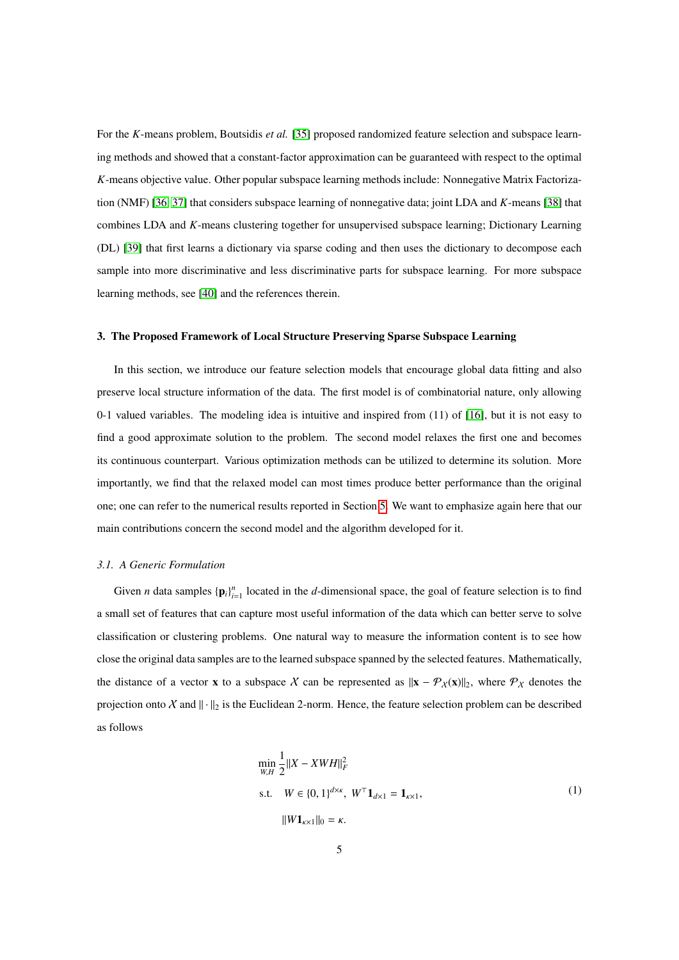For the *K*-means problem, Boutsidis *et al.* [\[35\]](#page-30-16) proposed randomized feature selection and subspace learning methods and showed that a constant-factor approximation can be guaranteed with respect to the optimal *K*-means objective value. Other popular subspace learning methods include: Nonnegative Matrix Factorization (NMF) [\[36,](#page-30-17) [37\]](#page-30-18) that considers subspace learning of nonnegative data; joint LDA and *K*-means [\[38\]](#page-30-19) that combines LDA and *K*-means clustering together for unsupervised subspace learning; Dictionary Learning (DL) [\[39\]](#page-30-20) that first learns a dictionary via sparse coding and then uses the dictionary to decompose each sample into more discriminative and less discriminative parts for subspace learning. For more subspace learning methods, see [\[40\]](#page-30-21) and the references therein.

## <span id="page-4-0"></span>3. The Proposed Framework of Local Structure Preserving Sparse Subspace Learning

In this section, we introduce our feature selection models that encourage global data fitting and also preserve local structure information of the data. The first model is of combinatorial nature, only allowing 0-1 valued variables. The modeling idea is intuitive and inspired from (11) of [\[16\]](#page-29-15), but it is not easy to find a good approximate solution to the problem. The second model relaxes the first one and becomes its continuous counterpart. Various optimization methods can be utilized to determine its solution. More importantly, we find that the relaxed model can most times produce better performance than the original one; one can refer to the numerical results reported in Section [5.](#page-16-0) We want to emphasize again here that our main contributions concern the second model and the algorithm developed for it.

#### <span id="page-4-2"></span>*3.1. A Generic Formulation*

Given *n* data samples  $\{\mathbf{p}_i\}_{i=1}^n$  located in the *d*-dimensional space, the goal of feature selection is to find a small set of features that can capture most useful information of the data which can better serve to solve classification or clustering problems. One natural way to measure the information content is to see how close the original data samples are to the learned subspace spanned by the selected features. Mathematically, the distance of a vector x to a subspace X can be represented as  $||x - \mathcal{P}_X(x)||_2$ , where  $\mathcal{P}_X$  denotes the projection onto X and  $\|\cdot\|_2$  is the Euclidean 2-norm. Hence, the feature selection problem can be described as follows

<span id="page-4-1"></span>
$$
\min_{W,H} \frac{1}{2} ||X - XWH||_F^2
$$
\n
$$
\text{s.t.} \quad W \in \{0, 1\}^{d \times \kappa}, \ W^\top \mathbf{1}_{d \times 1} = \mathbf{1}_{\kappa \times 1},
$$
\n
$$
||W \mathbf{1}_{\kappa \times 1}||_0 = \kappa.
$$
\n(1)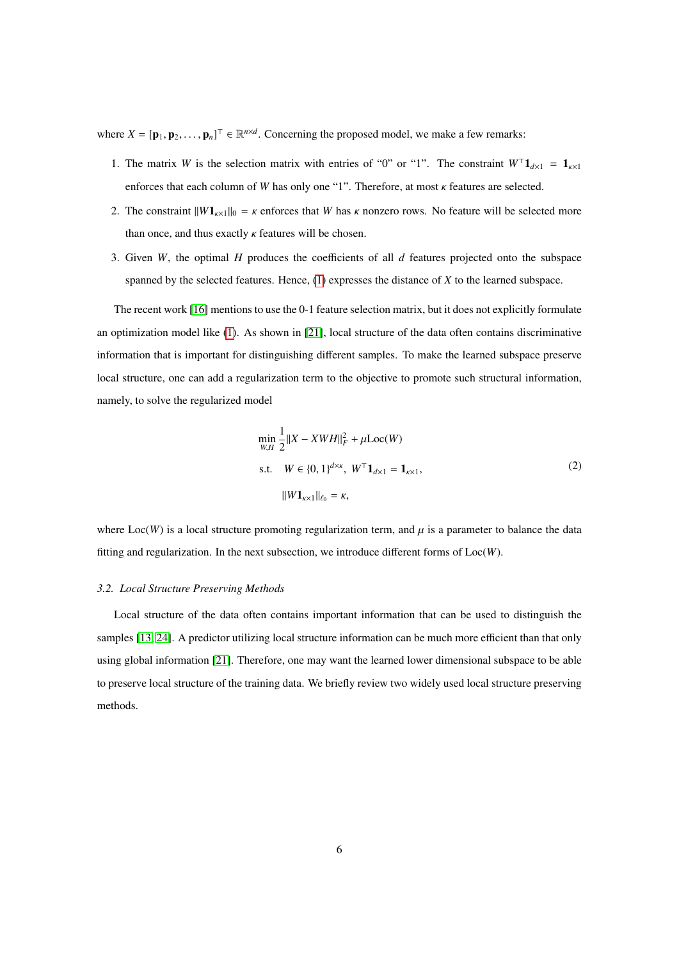where  $X = [\mathbf{p}_1, \mathbf{p}_2, \dots, \mathbf{p}_n]^\top \in \mathbb{R}^{n \times d}$ . Concerning the proposed model, we make a few remarks:

- 1. The matrix *W* is the selection matrix with entries of "0" or "1". The constraint  $W<sup>T</sup>1<sub>d\times1</sub> = 1<sub>k\times1</sub>$ enforces that each column of *<sup>W</sup>* has only one "1". Therefore, at most κ features are selected.
- 2. The constraint  $||W1_{k\times1}||_0 = \kappa$  enforces that *W* has  $\kappa$  nonzero rows. No feature will be selected more than once, and thus exactly  $\kappa$  features will be chosen.
- 3. Given *W*, the optimal *H* produces the coefficients of all *d* features projected onto the subspace spanned by the selected features. Hence, [\(1\)](#page-4-1) expresses the distance of *X* to the learned subspace.

The recent work [\[16\]](#page-29-15) mentions to use the 0-1 feature selection matrix, but it does not explicitly formulate an optimization model like [\(1\)](#page-4-1). As shown in [\[21\]](#page-30-2), local structure of the data often contains discriminative information that is important for distinguishing different samples. To make the learned subspace preserve local structure, one can add a regularization term to the objective to promote such structural information, namely, to solve the regularized model

$$
\min_{W,H} \frac{1}{2} ||X - XWH||_F^2 + \mu \text{Loc}(W)
$$
\n
$$
\text{s.t.} \quad W \in \{0, 1\}^{d \times \kappa}, \ W^\top \mathbf{1}_{d \times 1} = \mathbf{1}_{\kappa \times 1},
$$
\n
$$
||W \mathbf{1}_{\kappa \times 1}||_{\ell_0} = \kappa,
$$
\n(2)

<span id="page-5-0"></span>where  $Loc(W)$  is a local structure promoting regularization term, and  $\mu$  is a parameter to balance the data fitting and regularization. In the next subsection, we introduce different forms of Loc(*W*).

#### *3.2. Local Structure Preserving Methods*

Local structure of the data often contains important information that can be used to distinguish the samples [\[13,](#page-29-12) [24\]](#page-30-5). A predictor utilizing local structure information can be much more efficient than that only using global information [\[21\]](#page-30-2). Therefore, one may want the learned lower dimensional subspace to be able to preserve local structure of the training data. We briefly review two widely used local structure preserving methods.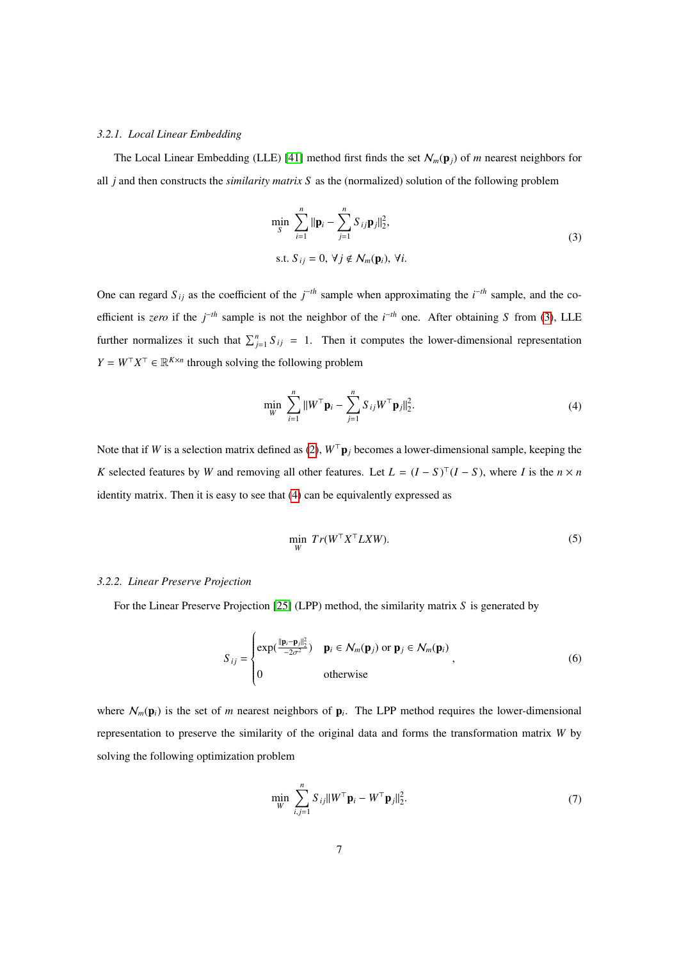#### *3.2.1. Local Linear Embedding*

<span id="page-6-0"></span>The Local Linear Embedding (LLE) [\[41\]](#page-31-0) method first finds the set  $\mathcal{N}_m(\mathbf{p}_j)$  of *m* nearest neighbors for all *j* and then constructs the *similarity matrix S* as the (normalized) solution of the following problem

$$
\min_{S} \sum_{i=1}^{n} \|\mathbf{p}_{i} - \sum_{j=1}^{n} S_{ij} \mathbf{p}_{j}\|_{2}^{2},
$$
\n
$$
\text{s.t. } S_{ij} = 0, \ \forall j \notin \mathcal{N}_{m}(\mathbf{p}_{i}), \ \forall i.
$$
\n
$$
(3)
$$

One can regard  $S_{ij}$  as the coefficient of the  $j^{-th}$  sample when approximating the  $i^{-th}$  sample, and the coefficient is *zero* if the *j* <sup>−</sup>*th* sample is not the neighbor of the *i* <sup>−</sup>*th* one. After obtaining *S* from [\(3\)](#page-6-0), LLE further normalizes it such that  $\sum_{j=1}^{n} S_{ij} = 1$ . Then it computes the lower-dimensional representation  $Y = W^{\top} X^{\top} \in \mathbb{R}^{K \times n}$  through solving the following problem

$$
\min_{W} \sum_{i=1}^{n} ||W^{\top} \mathbf{p}_{i} - \sum_{j=1}^{n} S_{ij} W^{\top} \mathbf{p}_{j}||_{2}^{2}.
$$
\n(4)

<span id="page-6-1"></span>Note that if *W* is a selection matrix defined as [\(2\)](#page-5-0),  $W^{\top}$ **p**<sub>*j*</sub> becomes a lower-dimensional sample, keeping the *K* selected features by *W* and removing all other features. Let  $L = (I - S)^T (I - S)$ , where *I* is the  $n \times n$ identity matrix. Then it is easy to see that [\(4\)](#page-6-1) can be equivalently expressed as

$$
\min_{W} Tr(W^{\top} X^{\top} L X W). \tag{5}
$$

### <span id="page-6-4"></span><span id="page-6-3"></span>*3.2.2. Linear Preserve Projection*

For the Linear Preserve Projection [\[25\]](#page-30-6) (LPP) method, the similarity matrix *S* is generated by

$$
S_{ij} = \begin{cases} \exp(\frac{||\mathbf{p}_i - \mathbf{p}_j||_2^2}{2\sigma^2}) & \mathbf{p}_i \in \mathcal{N}_m(\mathbf{p}_j) \text{ or } \mathbf{p}_j \in \mathcal{N}_m(\mathbf{p}_i) \\ 0 & \text{otherwise} \end{cases},
$$
(6)

<span id="page-6-2"></span>where  $\mathcal{N}_m(\mathbf{p}_i)$  is the set of *m* nearest neighbors of  $\mathbf{p}_i$ . The LPP method requires the lower-dimensional representation to preserve the similarity of the original data and forms the transformation matrix *W* by solving the following optimization problem

$$
\min_{W} \sum_{i,j=1}^{n} S_{ij} ||W^{\top} \mathbf{p}_{i} - W^{\top} \mathbf{p}_{j}||_{2}^{2}.
$$
\n(7)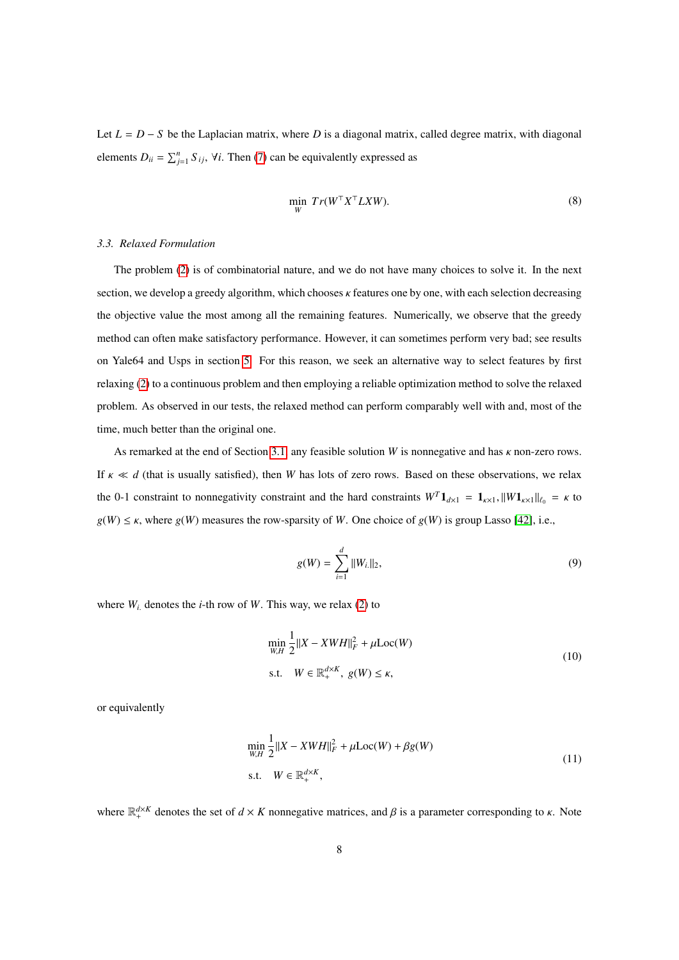<span id="page-7-2"></span>Let *L* = *D* − *S* be the Laplacian matrix, where *D* is a diagonal matrix, called degree matrix, with diagonal elements  $D_{ii} = \sum_{j=1}^{n} S_{ij}$ ,  $\forall i$ . Then [\(7\)](#page-6-2) can be equivalently expressed as

$$
\min_{W} Tr(W^{\top} X^{\top} L X W). \tag{8}
$$

# *3.3. Relaxed Formulation*

The problem [\(2\)](#page-5-0) is of combinatorial nature, and we do not have many choices to solve it. In the next section, we develop a greedy algorithm, which chooses κ features one by one, with each selection decreasing the objective value the most among all the remaining features. Numerically, we observe that the greedy method can often make satisfactory performance. However, it can sometimes perform very bad; see results on Yale64 and Usps in section [5.](#page-16-0) For this reason, we seek an alternative way to select features by first relaxing [\(2\)](#page-5-0) to a continuous problem and then employing a reliable optimization method to solve the relaxed problem. As observed in our tests, the relaxed method can perform comparably well with and, most of the time, much better than the original one.

As remarked at the end of Section [3.1,](#page-4-2) any feasible solution *<sup>W</sup>* is nonnegative and has κ non-zero rows. If  $\kappa \ll d$  (that is usually satisfied), then *W* has lots of zero rows. Based on these observations, we relax the 0-1 constraint to nonnegativity constraint and the hard constraints  $W^T \mathbf{1}_{d \times 1} = \mathbf{1}_{k \times 1}$ ,  $\|W\mathbf{1}_{k \times 1}\|_{\ell_0} = \kappa$  to  $g(W) \leq \kappa$ , where  $g(W)$  measures the row-sparsity of *W*. One choice of  $g(W)$  is group Lasso [\[42\]](#page-31-1), i.e.,

<span id="page-7-3"></span>
$$
g(W) = \sum_{i=1}^{d} ||W_{i.}||_{2},
$$
\n(9)

<span id="page-7-1"></span>where  $W_i$  denotes the *i*-th row of W. This way, we relax [\(2\)](#page-5-0) to

$$
\min_{W,H} \frac{1}{2} ||X - XWH||_F^2 + \mu \text{Loc}(W)
$$
  
s.t.  $W \in \mathbb{R}_+^{d \times K}$ ,  $g(W) \le \kappa$ , (10)

<span id="page-7-0"></span>or equivalently

$$
\min_{W,H} \frac{1}{2} ||X - XWH||_F^2 + \mu \text{Loc}(W) + \beta g(W)
$$
\n
$$
\text{s.t.} \quad W \in \mathbb{R}_+^{d \times K},
$$
\n(11)

where  $\mathbb{R}^{d \times K}_+$  denotes the set of  $d \times K$  nonnegative matrices, and  $\beta$  is a parameter corresponding to  $\kappa$ . Note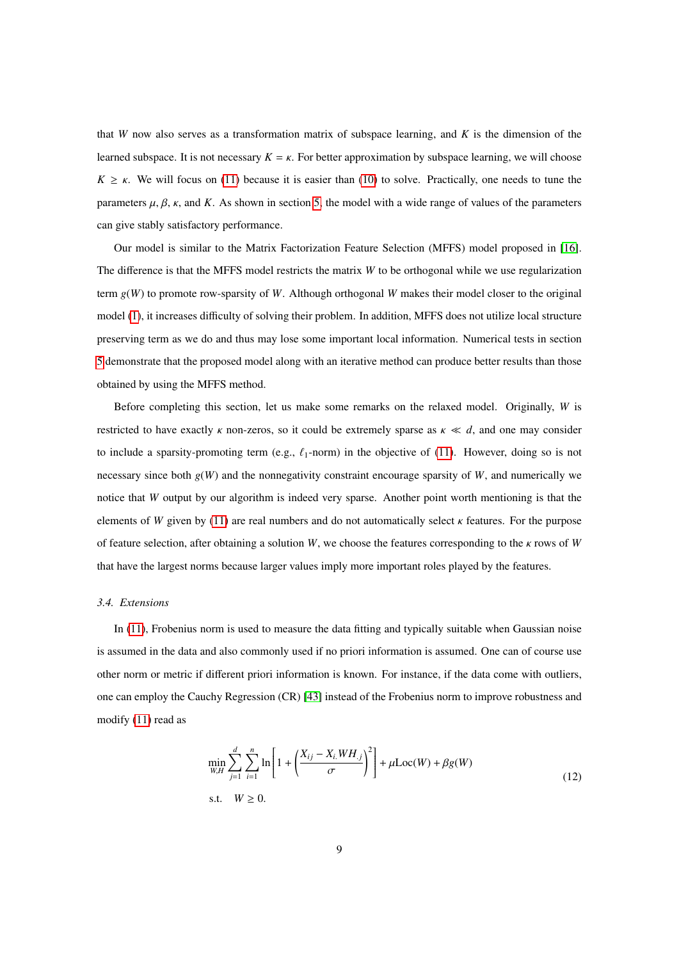that *W* now also serves as a transformation matrix of subspace learning, and *K* is the dimension of the learned subspace. It is not necessary  $K = \kappa$ . For better approximation by subspace learning, we will choose  $K \geq \kappa$ . We will focus on [\(11\)](#page-7-0) because it is easier than [\(10\)](#page-7-1) to solve. Practically, one needs to tune the parameters  $\mu$ ,  $\beta$ ,  $\kappa$ , and  $K$ . As shown in section [5,](#page-16-0) the model with a wide range of values of the parameters can give stably satisfactory performance.

Our model is similar to the Matrix Factorization Feature Selection (MFFS) model proposed in [\[16\]](#page-29-15). The difference is that the MFFS model restricts the matrix *W* to be orthogonal while we use regularization term *g*(*W*) to promote row-sparsity of *W*. Although orthogonal *W* makes their model closer to the original model [\(1\)](#page-4-1), it increases difficulty of solving their problem. In addition, MFFS does not utilize local structure preserving term as we do and thus may lose some important local information. Numerical tests in section [5](#page-16-0) demonstrate that the proposed model along with an iterative method can produce better results than those obtained by using the MFFS method.

Before completing this section, let us make some remarks on the relaxed model. Originally, *W* is restricted to have exactly  $\kappa$  non-zeros, so it could be extremely sparse as  $\kappa \ll d$ , and one may consider to include a sparsity-promoting term (e.g.,  $\ell_1$ -norm) in the objective of [\(11\)](#page-7-0). However, doing so is not necessary since both  $g(W)$  and the nonnegativity constraint encourage sparsity of *W*, and numerically we notice that *W* output by our algorithm is indeed very sparse. Another point worth mentioning is that the elements of *W* given by [\(11\)](#page-7-0) are real numbers and do not automatically select  $\kappa$  features. For the purpose of feature selection, after obtaining a solution *<sup>W</sup>*, we choose the features corresponding to the κ rows of *<sup>W</sup>* that have the largest norms because larger values imply more important roles played by the features.

## *3.4. Extensions*

In [\(11\)](#page-7-0), Frobenius norm is used to measure the data fitting and typically suitable when Gaussian noise is assumed in the data and also commonly used if no priori information is assumed. One can of course use other norm or metric if different priori information is known. For instance, if the data come with outliers, one can employ the Cauchy Regression (CR) [\[43\]](#page-31-2) instead of the Frobenius norm to improve robustness and modify [\(11\)](#page-7-0) read as

$$
\min_{W,H} \sum_{j=1}^{d} \sum_{i=1}^{n} \ln \left[ 1 + \left( \frac{X_{ij} - X_{i.}WH_{.j}}{\sigma} \right)^2 \right] + \mu \text{Loc}(W) + \beta g(W)
$$
\ns.t.

\n
$$
W \ge 0.
$$
\n(12)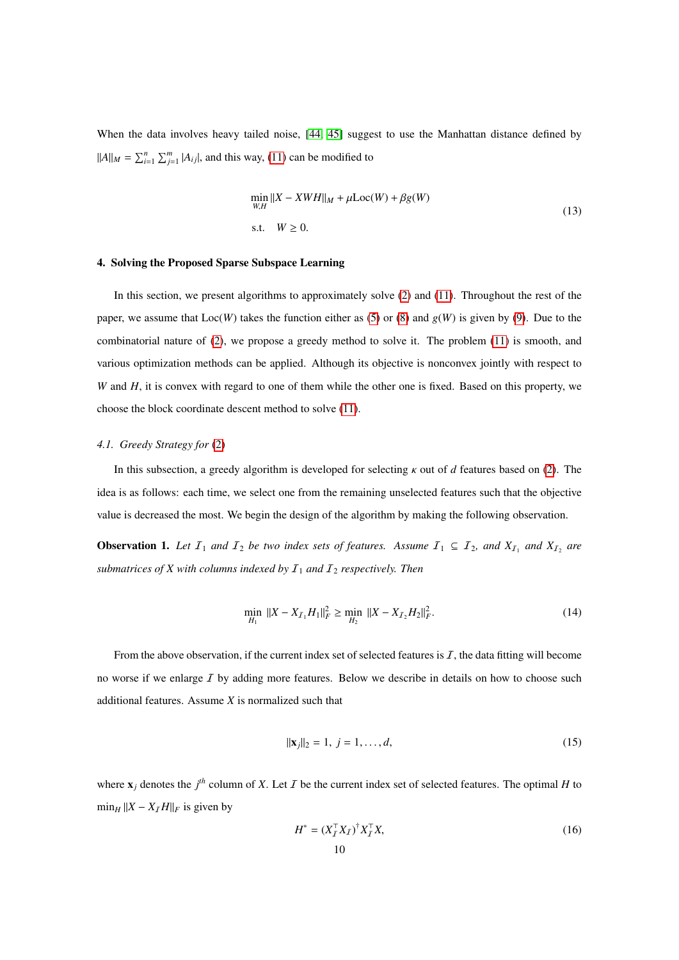When the data involves heavy tailed noise, [\[44,](#page-31-3) [45\]](#page-31-4) suggest to use the Manhattan distance defined by  $||A||_M = \sum_{i=1}^n \sum_{j=1}^m |A_{ij}|$ , and this way, [\(11\)](#page-7-0) can be modified to

$$
\min_{W,H} ||X - XWH||_M + \mu \text{Loc}(W) + \beta g(W)
$$
\n
$$
\text{s.t.} \quad W \ge 0. \tag{13}
$$

# <span id="page-9-0"></span>4. Solving the Proposed Sparse Subspace Learning

In this section, we present algorithms to approximately solve [\(2\)](#page-5-0) and [\(11\)](#page-7-0). Throughout the rest of the paper, we assume that  $Loc(W)$  takes the function either as [\(5\)](#page-6-3) or [\(8\)](#page-7-2) and  $g(W)$  is given by [\(9\)](#page-7-3). Due to the combinatorial nature of [\(2\)](#page-5-0), we propose a greedy method to solve it. The problem [\(11\)](#page-7-0) is smooth, and various optimization methods can be applied. Although its objective is nonconvex jointly with respect to *W* and *H*, it is convex with regard to one of them while the other one is fixed. Based on this property, we choose the block coordinate descent method to solve [\(11\)](#page-7-0).

## *4.1. Greedy Strategy for* [\(2\)](#page-5-0)

In this subsection, a greedy algorithm is developed for selecting κ out of *<sup>d</sup>* features based on [\(2\)](#page-5-0). The idea is as follows: each time, we select one from the remaining unselected features such that the objective value is decreased the most. We begin the design of the algorithm by making the following observation.

**Observation 1.** Let  $I_1$  and  $I_2$  be two index sets of features. Assume  $I_1 \subseteq I_2$ , and  $X_{I_1}$  and  $X_{I_2}$  are *submatrices of X with columns indexed by*  $I_1$  *and*  $I_2$  *respectively. Then* 

$$
\min_{H_1} \|X - X_{\mathcal{I}_1} H_1\|_F^2 \ge \min_{H_2} \|X - X_{\mathcal{I}_2} H_2\|_F^2. \tag{14}
$$

From the above observation, if the current index set of selected features is  $I$ , the data fitting will become no worse if we enlarge  $I$  by adding more features. Below we describe in details on how to choose such additional features. Assume *X* is normalized such that

<span id="page-9-1"></span>
$$
\|\mathbf{x}_j\|_2 = 1, \ j = 1, \dots, d,\tag{15}
$$

where  $\mathbf{x}_j$  denotes the  $j^{th}$  column of X. Let I be the current index set of selected features. The optimal H to  $\min_H ||X - X_I H||_F$  is given by

<span id="page-9-2"></span>
$$
H^* = (X_I^\top X_I)^\dagger X_I^\top X,\tag{16}
$$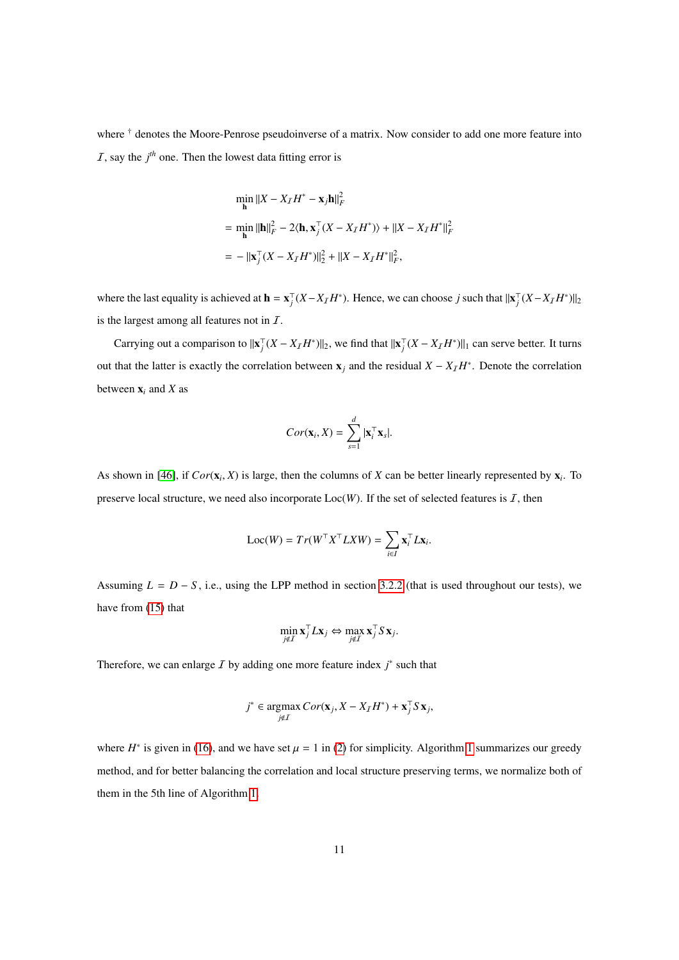where † denotes the Moore-Penrose pseudoinverse of a matrix. Now consider to add one more feature into  $I$ , say the  $j<sup>th</sup>$  one. Then the lowest data fitting error is

$$
\begin{aligned} &\min_{\mathbf{h}} \|X - X_I H^* - \mathbf{x}_j \mathbf{h}\|_F^2 \\ &= \min_{\mathbf{h}} \| \mathbf{h} \|_F^2 - 2 \langle \mathbf{h}, \mathbf{x}_j^\top (X - X_I H^*) \rangle + \| X - X_I H^* \|_F^2 \\ &= - \| \mathbf{x}_j^\top (X - X_I H^*) \|_2^2 + \| X - X_I H^* \|_F^2, \end{aligned}
$$

where the last equality is achieved at  $\mathbf{h} = \mathbf{x}_j^T (X - X_I H^*)$ . Hence, we can choose *j* such that  $||\mathbf{x}_j^T (X - X_I H^*)||_2$ is the largest among all features not in  $I$ .

Carrying out a comparison to  $||\mathbf{x}_j^\top (X - X_I H^*)||_2$ , we find that  $||\mathbf{x}_j^\top (X - X_I H^*)||_1$  can serve better. It turns out that the latter is exactly the correlation between  $\mathbf{x}_j$  and the residual  $X - X_I H^*$ . Denote the correlation between  $\mathbf{x}_i$  and  $X$  as

$$
Cor(\mathbf{x}_i, X) = \sum_{s=1}^d |\mathbf{x}_i^{\top} \mathbf{x}_s|.
$$

As shown in [\[46\]](#page-31-5), if  $Cor(\mathbf{x}_i, X)$  is large, then the columns of *X* can be better linearly represented by  $\mathbf{x}_i$ . To preserve local structure, we need also incorporate  $Loc(W)$ . If the set of selected features is I, then

$$
Loc(W) = Tr(W^{\top} X^{\top} L X W) = \sum_{i \in I} \mathbf{x}_{i}^{\top} L \mathbf{x}_{i}.
$$

Assuming  $L = D - S$ , i.e., using the LPP method in section [3.2.2](#page-6-4) (that is used throughout our tests), we have from [\(15\)](#page-9-1) that

$$
\min_{j \notin \mathcal{I}} \mathbf{x}_j^{\top} L \mathbf{x}_j \Leftrightarrow \max_{j \notin \mathcal{I}} \mathbf{x}_j^{\top} S \mathbf{x}_j.
$$

Therefore, we can enlarge  $\bar{I}$  by adding one more feature index  $j^*$  such that

$$
j^* \in \operatorname*{argmax}_{j \notin I} Cor(\mathbf{x}_j, X - X_I H^*) + \mathbf{x}_j^\top S \mathbf{x}_j,
$$

where  $H^*$  is given in [\(16\)](#page-9-2), and we have set  $\mu = 1$  $\mu = 1$  in [\(2\)](#page-5-0) for simplicity. Algorithm 1 summarizes our greedy method, and for better balancing the correlation and local structure preserving terms, we normalize both of them in the 5th line of Algorithm [1.](#page-11-0)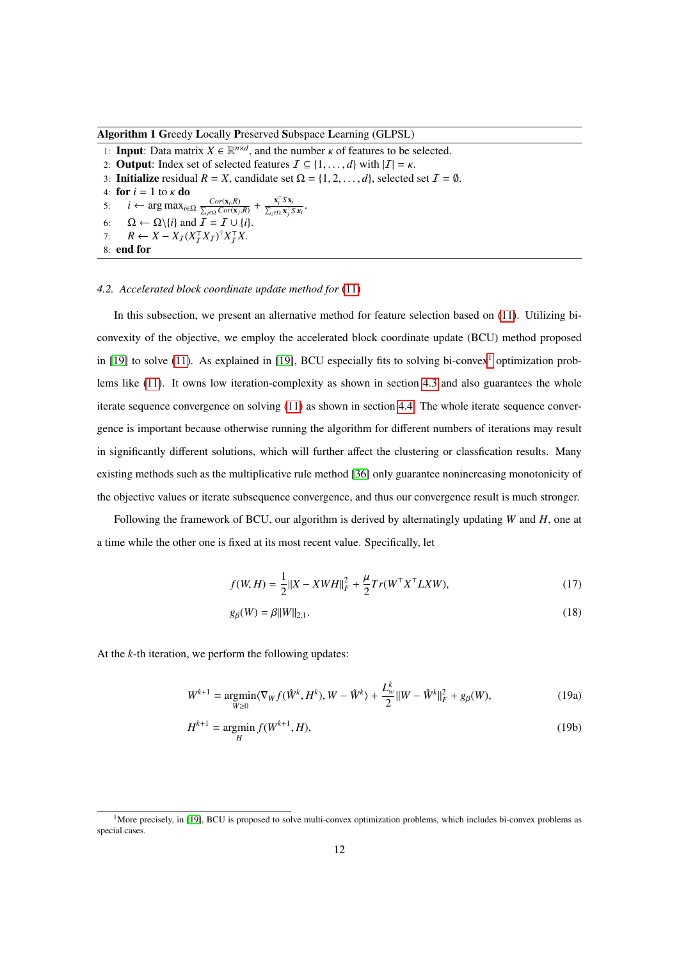# <span id="page-11-0"></span>Algorithm 1 Greedy Locally Preserved Subspace Learning (GLPSL)

1: **Input:** Data matrix  $X \in \mathbb{R}^{n \times d}$ , and the number  $\kappa$  of features to be selected.<br>2. **Output:** Index set of selected features  $\overline{I} \subset I1$  all with  $|I| = \kappa$ 

2: **Output**: Index set of selected features  $\mathcal{I} \subseteq \{1, ..., d\}$  with  $|\mathcal{I}| = \kappa$ .

3: **Initialize** residual  $R = X$ , candidate set  $\Omega = \{1, 2, ..., d\}$ , selected set  $\mathcal{I} = \emptyset$ .

4: **for**  $i = 1$  to  $\kappa$  **do**<br>5:  $i \leftarrow \arg \max_{i \in \mathcal{S}}$ 

5:  $i \leftarrow \arg \max_{i \in \Omega} \frac{Cor(\mathbf{x}_i, R)}{\sum_{j \in \Omega} Cor(\mathbf{x}_j, R)} + \frac{\mathbf{x}_i^T S \mathbf{x}_j}{\sum_{j \in \Omega} \mathbf{x}_j^T}$  $\frac{\mathbf{x}_i S \mathbf{x}_i}{\sum_{j\in\Omega} \mathbf{x}_j^\top S \mathbf{x}_i}$ .

- 6:  $\Omega \leftarrow \Omega \backslash \{i\}$  and  $\overline{\overline{I}} = \overline{I} \cup \{i\}.$
- 7:  $R \leftarrow X X_I (X_I^{\top} X_I)^{\dagger} X_I^{\top} X$ .<br>8: **end for**
- 8: end for

# *4.2. Accelerated block coordinate update method for* [\(11\)](#page-7-0)

In this subsection, we present an alternative method for feature selection based on [\(11\)](#page-7-0). Utilizing biconvexity of the objective, we employ the accelerated block coordinate update (BCU) method proposed in [\[19\]](#page-30-0) to solve [\(11\)](#page-7-0). As explained in [[1](#page-0-0)9], BCU especially fits to solving bi-convex<sup>1</sup> optimization problems like [\(11\)](#page-7-0). It owns low iteration-complexity as shown in section [4.3](#page-14-0) and also guarantees the whole iterate sequence convergence on solving [\(11\)](#page-7-0) as shown in section [4.4.](#page-15-0) The whole iterate sequence convergence is important because otherwise running the algorithm for different numbers of iterations may result in significantly different solutions, which will further affect the clustering or classfication results. Many existing methods such as the multiplicative rule method [\[36\]](#page-30-17) only guarantee nonincreasing monotonicity of the objective values or iterate subsequence convergence, and thus our convergence result is much stronger.

Following the framework of BCU, our algorithm is derived by alternatingly updating *W* and *H*, one at a time while the other one is fixed at its most recent value. Specifically, let

$$
f(W, H) = \frac{1}{2} ||X - XWH||_F^2 + \frac{\mu}{2} Tr(W^\top X^\top L X W),
$$
\n(17)

<span id="page-11-2"></span><span id="page-11-1"></span>
$$
g_{\beta}(W) = \beta ||W||_{2,1}.
$$
 (18)

At the *k*-th iteration, we perform the following updates:

$$
W^{k+1} = \underset{W \ge 0}{\text{argmin}} \langle \nabla_W f(\hat{W}^k, H^k), W - \hat{W}^k \rangle + \frac{L^k_w}{2} ||W - \hat{W}^k||^2_F + g_\beta(W), \tag{19a}
$$

$$
H^{k+1} = \underset{H}{\text{argmin}} f(W^{k+1}, H), \tag{19b}
$$

 $1$ More precisely, in [\[19\]](#page-30-0), BCU is proposed to solve multi-convex optimization problems, which includes bi-convex problems as special cases.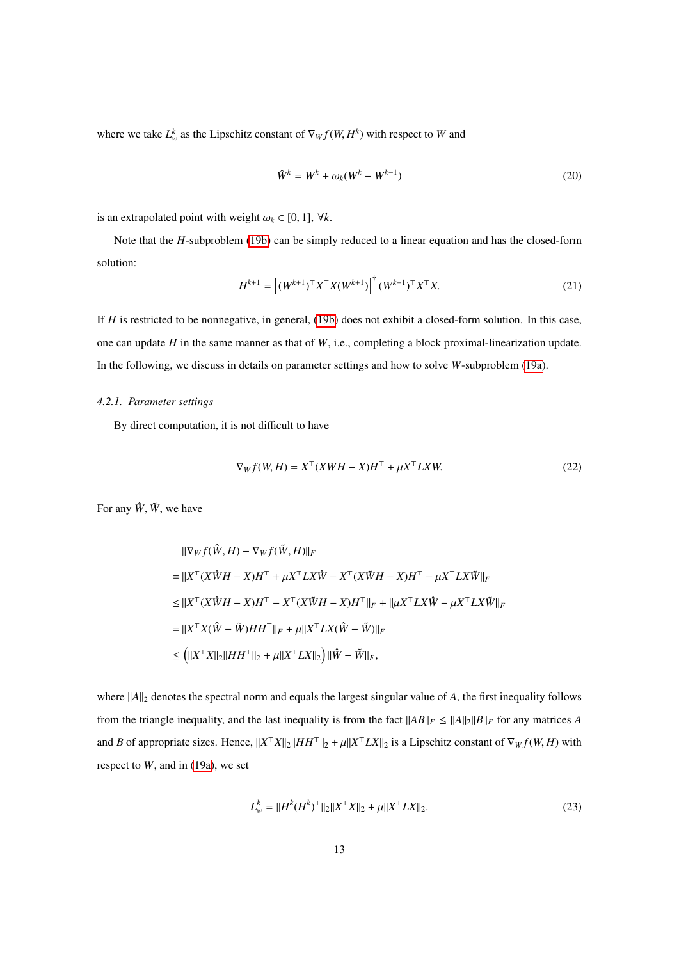where we take  $L_w^k$  as the Lipschitz constant of  $\nabla_W f(W, H^k)$  with respect to *W* and

$$
\hat{W}^k = W^k + \omega_k (W^k - W^{k-1})
$$
\n(20)

is an extrapolated point with weight  $\omega_k \in [0, 1]$ ,  $\forall k$ .

Note that the *H*-subproblem [\(19b\)](#page-11-1) can be simply reduced to a linear equation and has the closed-form solution:

<span id="page-12-1"></span>
$$
H^{k+1} = \left[ (W^{k+1})^\top X^\top X (W^{k+1}) \right]^\dagger (W^{k+1})^\top X^\top X. \tag{21}
$$

If *H* is restricted to be nonnegative, in general, [\(19b\)](#page-11-1) does not exhibit a closed-form solution. In this case, one can update *H* in the same manner as that of *W*, i.e., completing a block proximal-linearization update. In the following, we discuss in details on parameter settings and how to solve *W*-subproblem [\(19a\)](#page-11-2).

## *4.2.1. Parameter settings*

By direct computation, it is not difficult to have

<span id="page-12-2"></span>
$$
\nabla_W f(W, H) = X^\top (XWH - X)H^\top + \mu X^\top L XW.
$$
\n(22)

For any  $\hat{W}$ ,  $\tilde{W}$ , we have

$$
\begin{aligned}\n||\nabla_{W} f(\hat{W}, H) - \nabla_{W} f(\tilde{W}, H)||_{F} \\
= ||X^{\top} (X\hat{W}H - X)H^{\top} + \mu X^{\top} LX\hat{W} - X^{\top} (X\tilde{W}H - X)H^{\top} - \mu X^{\top} LX\tilde{W}||_{F} \\
\leq ||X^{\top} (X\hat{W}H - X)H^{\top} - X^{\top} (X\tilde{W}H - X)H^{\top}||_{F} + ||\mu X^{\top} LX\hat{W} - \mu X^{\top} LX\tilde{W}||_{F} \\
= ||X^{\top} X(\hat{W} - \tilde{W})HH^{\top}||_{F} + \mu ||X^{\top} LX(\hat{W} - \tilde{W})||_{F} \\
\leq \left( ||X^{\top} X||_{2}||HH^{\top}||_{2} + \mu ||X^{\top} LX||_{2} \right) ||\hat{W} - \tilde{W}||_{F},\n\end{aligned}
$$

where  $||A||_2$  denotes the spectral norm and equals the largest singular value of *A*, the first inequality follows from the triangle inequality, and the last inequality is from the fact  $||AB||_F \le ||A||_2 ||B||_F$  for any matrices *A* and *B* of appropriate sizes. Hence,  $||X^{\top}X||_2||HH^{\top}||_2 + \mu||X^{\top}LX||_2$  is a Lipschitz constant of  $\nabla_W f(W, H)$  with respect to *W*, and in [\(19a\)](#page-11-2), we set

<span id="page-12-0"></span>
$$
L_w^k = ||H^k(H^k)^\top||_2||X^\top X||_2 + \mu||X^\top LX||_2.
$$
\n(23)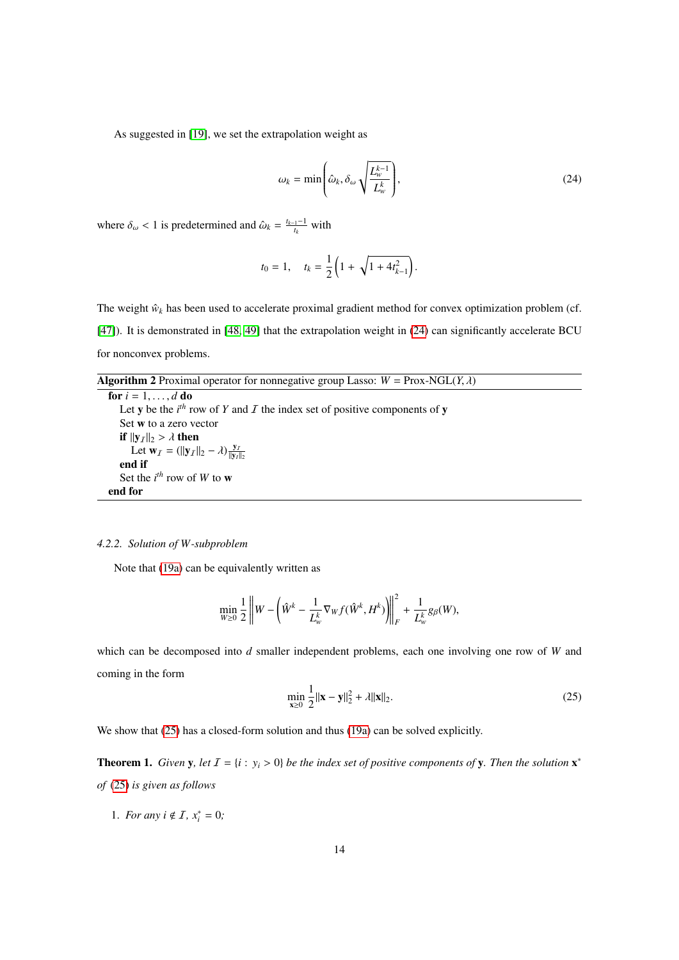As suggested in [\[19\]](#page-30-0), we set the extrapolation weight as

<span id="page-13-0"></span>
$$
\omega_k = \min\left(\hat{\omega}_k, \delta_\omega \sqrt{\frac{L_w^{k-1}}{L_w^k}}\right),\tag{24}
$$

where  $\delta_{\omega} < 1$  is predetermined and  $\hat{\omega}_k = \frac{t_{k-1}-1}{t_k}$  with

$$
t_0 = 1, \quad t_k = \frac{1}{2} \left( 1 + \sqrt{1 + 4t_{k-1}^2} \right)
$$

The weight  $\hat{w}_k$  has been used to accelerate proximal gradient method for convex optimization problem (cf. [\[47\]](#page-31-6)). It is demonstrated in [\[48,](#page-31-7) [49\]](#page-31-8) that the extrapolation weight in [\(24\)](#page-13-0) can significantly accelerate BCU for nonconvex problems.

<span id="page-13-3"></span>**Algorithm 2** Proximal operator for nonnegative group Lasso:  $W = \text{Prox-NGL}(Y, \lambda)$ 

```
for i = 1, \ldots, d do
    Let y be the i^{th} row of Y and I the index set of positive components of y
   Set w to a zero vector
   if ||y_I||_2 > \lambda then
       Let \mathbf{w}_I = (||\mathbf{y}_I||_2 - \lambda) \frac{\mathbf{y}_I}{||\mathbf{y}_I||_2}<br>d if
   end if
    Set the i^{th} row of W to w
end for
```
# *4.2.2. Solution of W-subproblem*

Note that [\(19a\)](#page-11-2) can be equivalently written as

$$
\min_{W\geq 0} \frac{1}{2} \left\| W - \left( \hat{W}^k - \frac{1}{L^k_w} \nabla_W f(\hat{W}^k, H^k) \right) \right\|_F^2 + \frac{1}{L^k_w} g_\beta(W),
$$

which can be decomposed into *d* smaller independent problems, each one involving one row of *W* and coming in the form

<span id="page-13-1"></span>
$$
\min_{\mathbf{x} \ge 0} \frac{1}{2} ||\mathbf{x} - \mathbf{y}||_2^2 + \lambda ||\mathbf{x}||_2.
$$
 (25)

We show that  $(25)$  has a closed-form solution and thus  $(19a)$  can be solved explicitly.

<span id="page-13-2"></span>**Theorem 1.** *Given* **y**, *let*  $I = \{i : y_i > 0\}$  *be the index set of positive components of* **y**. *Then the solution*  $\mathbf{x}^*$ *of* [\(25\)](#page-13-1) *is given as follows*

1. *For any*  $i \notin I$ ,  $x_i^* = 0$ ;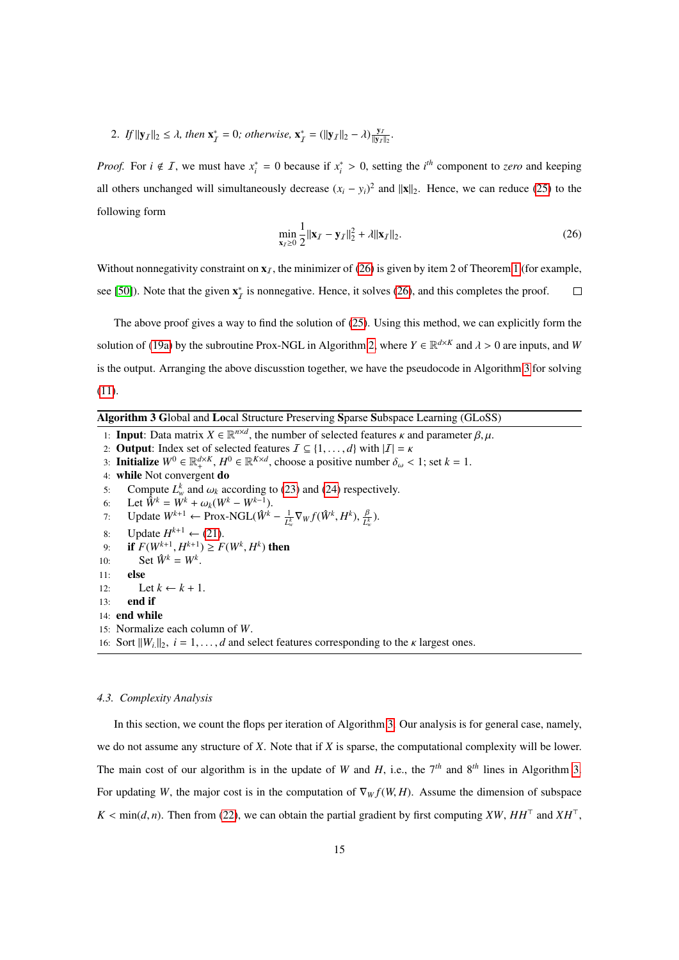2. If  $||\mathbf{y}_I||_2 \le \lambda$ , then  $\mathbf{x}_I^* = 0$ ; otherwise,  $\mathbf{x}_I^* = (||\mathbf{y}_I||_2 - \lambda) \frac{\mathbf{y}_I}{||\mathbf{y}_I||_2}$ .

*Proof.* For  $i \notin I$ , we must have  $x_i^* = 0$  because if  $x_i^* > 0$ , setting the *i*<sup>th</sup> component to *zero* and keeping all others unchanged will simultaneously decrease  $(x_i - y_i)^2$  and  $||\mathbf{x}||_2$ . Hence, we can reduce [\(25\)](#page-13-1) to the following form

<span id="page-14-1"></span>
$$
\min_{\mathbf{x}_I \ge 0} \frac{1}{2} ||\mathbf{x}_I - \mathbf{y}_I||_2^2 + \lambda ||\mathbf{x}_I||_2.
$$
 (26)

Without nonnegativity constraint on  $x_7$ , the minimizer of [\(26\)](#page-14-1) is given by item 2 of Theorem [1](#page-13-2) (for example, see [\[50\]](#page-31-9)). Note that the given  $\mathbf{x}_I^*$  is nonnegative. Hence, it solves [\(26\)](#page-14-1), and this completes the proof.  $\Box$ 

The above proof gives a way to find the solution of [\(25\)](#page-13-1). Using this method, we can explicitly form the solution of [\(19a\)](#page-11-2) by the subroutine Prox-NGL in Algorithm [2,](#page-13-3) where  $Y \in \mathbb{R}^{d \times K}$  and  $\lambda > 0$  are inputs, and *W* is the output. Arranging the above discusstion together, we have the pseudocode in Algorithm [3](#page-14-2) for solving [\(11\)](#page-7-0).

<span id="page-14-2"></span>Algorithm 3 Global and Local Structure Preserving Sparse Subspace Learning (GLoSS)

1: **Input:** Data matrix  $X \in \mathbb{R}^{n \times d}$ , the number of selected features  $\kappa$  and parameter  $\beta, \mu$ .<br>2. **Output:** Index set of selected features  $T \subseteq 11$  dl with  $|T| = \kappa$ 2: **Output:** Index set of selected features  $\mathcal{I} \subseteq \{1, ..., d\}$  with  $|\mathcal{I}| = \kappa$ 3: **Initialize**  $W^0 \in \mathbb{R}^{d \times K}$ ,  $H^0 \in \mathbb{R}^{K \times d}$ , choose a positive number  $\delta_\omega < 1$ ; set  $k = 1$ . 4: while Not convergent do 5: Compute  $L_w^k$  and  $\omega_k$  according to [\(23\)](#page-12-0) and [\(24\)](#page-13-0) respectively.<br>6: Let  $\hat{W}^k - W^k + \omega_k (W^k - W^{k-1})$ 6: Let  $\hat{W}^k = \hat{W}^k + \omega_k (W^k - W^{k-1}).$ <br>7. Lindate  $W^{k+1} \leftarrow \text{Prov-NGI } (\hat{W}^k)$ 7: Update  $W^{k+1}$  ← Prox-NGL( $\hat{W}^k - \frac{1}{L^k}$  $\frac{1}{L^k_w} \nabla_W f(\hat{W}^k, H^k), \frac{\beta}{L^k_w}$ ). 8: Update  $H^{k+1} \leftarrow (21)$  $H^{k+1} \leftarrow (21)$ .<br> **a: if**  $F(W^{k+1} | H^{k+1}) > F$ 9: **if**  $F(W^{k+1}, H^{k+1}) \ge F(W^k, H^k)$  then<br>
0: Set  $\hat{W}^k - W^k$ 10: Set  $\hat{W}^k = W^k$ . 11: else 12: Let  $k \leftarrow k + 1$ . 13: end if 14: end while 15: Normalize each column of *W*. 16: Sort  $||W_i||_2$ ,  $i = 1, ..., d$  and select features corresponding to the  $\kappa$  largest ones.

#### <span id="page-14-0"></span>*4.3. Complexity Analysis*

In this section, we count the flops per iteration of Algorithm [3.](#page-14-2) Our analysis is for general case, namely, we do not assume any structure of *X*. Note that if *X* is sparse, the computational complexity will be lower. The main cost of our algorithm is in the update of *W* and *H*, i.e., the 7*th* and 8*th* lines in Algorithm [3.](#page-14-2) For updating *W*, the major cost is in the computation of  $\nabla_W f(W, H)$ . Assume the dimension of subspace  $K < \min(d, n)$ . Then from [\(22\)](#page-12-2), we can obtain the partial gradient by first computing *XW*, *HH*<sup>T</sup> and *XH*<sup>T</sup>,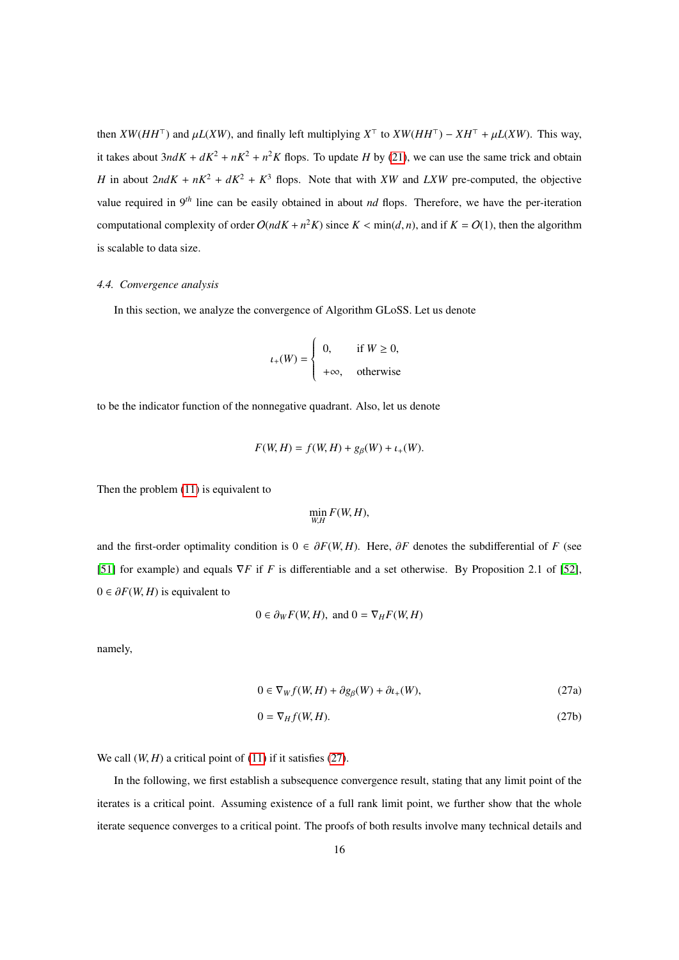then  $XW(HH<sup>T</sup>)$  and  $\mu L(XW)$ , and finally left multiplying  $X<sup>T</sup>$  to  $XW(HH<sup>T</sup>) - XH<sup>T</sup> + \mu L(XW)$ . This way, it takes about  $3ndK + dK^2 + nK^2 + n^2K$  flops. To update *H* by [\(21\)](#page-12-1), we can use the same trick and obtain *H* in about  $2ndK + nK^2 + dK^2 + K^3$  flops. Note that with *XW* and *LXW* pre-computed, the objective value required in 9*th* line can be easily obtained in about *nd* flops. Therefore, we have the per-iteration computational complexity of order  $O(ndK + n^2K)$  since  $K < min(d, n)$ , and if  $K = O(1)$ , then the algorithm is scalable to data size.

## <span id="page-15-0"></span>*4.4. Convergence analysis*

In this section, we analyze the convergence of Algorithm GLoSS. Let us denote

$$
t_{+}(W) = \begin{cases} 0, & \text{if } W \ge 0, \\ +\infty, & \text{otherwise} \end{cases}
$$

to be the indicator function of the nonnegative quadrant. Also, let us denote

$$
F(W, H) = f(W, H) + g_{\beta}(W) + \iota_{+}(W).
$$

Then the problem [\(11\)](#page-7-0) is equivalent to

$$
\min_{W,H} F(W, H),
$$

and the first-order optimality condition is  $0 \in \partial F(W, H)$ . Here,  $\partial F$  denotes the subdifferential of *F* (see [\[51\]](#page-31-10) for example) and equals ∇*F* if *F* is differentiable and a set otherwise. By Proposition 2.1 of [\[52\]](#page-31-11),  $0 \in \partial F(W, H)$  is equivalent to

$$
0 \in \partial_W F(W, H)
$$
, and  $0 = \nabla_H F(W, H)$ 

<span id="page-15-1"></span>namely,

$$
0 \in \nabla_W f(W, H) + \partial g_\beta(W) + \partial u_+(W),\tag{27a}
$$

$$
0 = \nabla_H f(W, H). \tag{27b}
$$

We call  $(W, H)$  a critical point of  $(11)$  if it satisfies  $(27)$ .

In the following, we first establish a subsequence convergence result, stating that any limit point of the iterates is a critical point. Assuming existence of a full rank limit point, we further show that the whole iterate sequence converges to a critical point. The proofs of both results involve many technical details and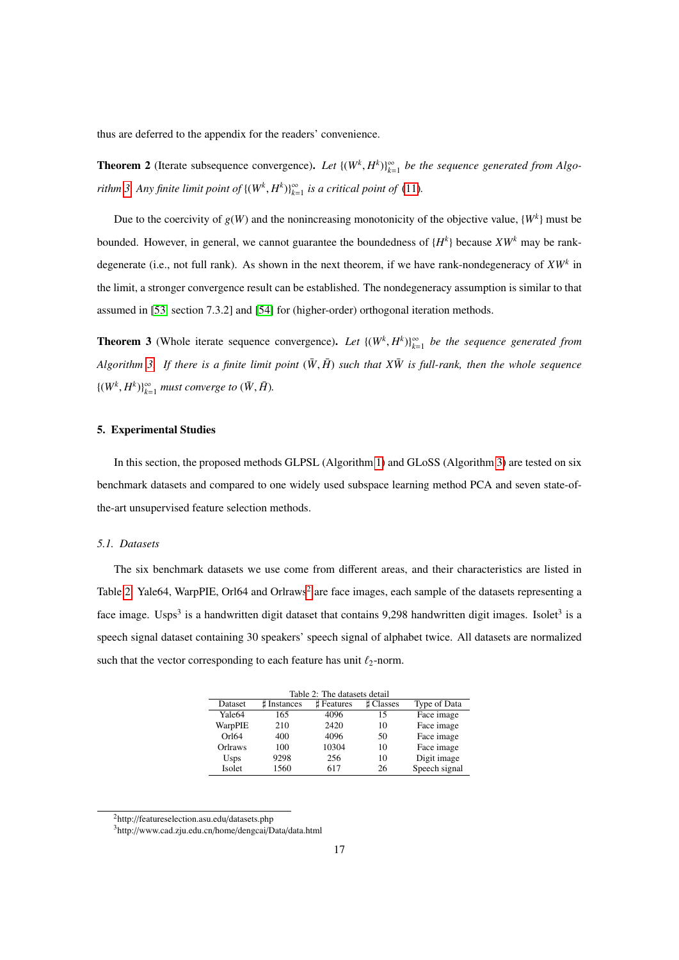thus are deferred to the appendix for the readers' convenience.

<span id="page-16-2"></span>**Theorem 2** (Iterate subsequence convergence). Let  $\{(W^k, H^k)\}_{k=1}^{\infty}$  be the sequence generated from Algo*rithm* [3.](#page-14-2) Any finite limit point of  $\{(W^k, H^k)\}_{k=1}^{\infty}$  is a critical point of [\(11\)](#page-7-0).

Due to the coercivity of  $g(W)$  and the nonincreasing monotonicity of the objective value,  $\{W^k\}$  must be bounded. However, in general, we cannot guarantee the boundedness of {*H k* } because *XW<sup>k</sup>* may be rankdegenerate (i.e., not full rank). As shown in the next theorem, if we have rank-nondegeneracy of *XW<sup>k</sup>* in the limit, a stronger convergence result can be established. The nondegeneracy assumption is similar to that assumed in [\[53,](#page-31-12) section 7.3.2] and [\[54\]](#page-31-13) for (higher-order) orthogonal iteration methods.

<span id="page-16-3"></span>**Theorem 3** (Whole iterate sequence convergence). Let  $\{(W^k, H^k)\}_{k=1}^{\infty}$  be the sequence generated from *Algorithm* [3.](#page-14-2) If there is a finite limit point  $(\bar{W}, \bar{H})$  such that  $X\bar{W}$  is full-rank, then the whole sequence  $\{(W^k, H^k)\}_{k=1}^{\infty}$  *must converge to*  $(\bar{W}, \bar{H})$ *.* 

# <span id="page-16-0"></span>5. Experimental Studies

In this section, the proposed methods GLPSL (Algorithm [1\)](#page-11-0) and GLoSS (Algorithm [3\)](#page-14-2) are tested on six benchmark datasets and compared to one widely used subspace learning method PCA and seven state-ofthe-art unsupervised feature selection methods.

## *5.1. Datasets*

The six benchmark datasets we use come from different areas, and their characteristics are listed in Table [2.](#page-16-1) Yale64, WarpPIE, Orl64 and Orlraws<sup>[2](#page-0-0)</sup> are face images, each sample of the datasets representing a face image. Usps<sup>3</sup> is a handwritten digit dataset that contains 9,298 handwritten digit images. Isolet<sup>3</sup> is a speech signal dataset containing 30 speakers' speech signal of alphabet twice. All datasets are normalized such that the vector corresponding to each feature has unit  $\ell_2$ -norm.

<span id="page-16-1"></span>

| Table 2: The datasets detail |            |                |               |  |  |  |  |
|------------------------------|------------|----------------|---------------|--|--|--|--|
| # Instances                  | # Features | <b>Classes</b> | Type of Data  |  |  |  |  |
| 165                          | 4096       | 15             | Face image    |  |  |  |  |
| 210                          | 2420       | 10             | Face image    |  |  |  |  |
| 400                          | 4096       | 50             | Face image    |  |  |  |  |
| 100                          | 10304      | 10             | Face image    |  |  |  |  |
| 9298                         | 256        | 10             | Digit image   |  |  |  |  |
| 1560                         | 617        | 26             | Speech signal |  |  |  |  |
|                              |            |                |               |  |  |  |  |

<sup>2</sup>http://featureselection.asu.edu/datasets.php

<sup>3</sup>http://www.cad.zju.edu.cn/home/dengcai/Data/data.html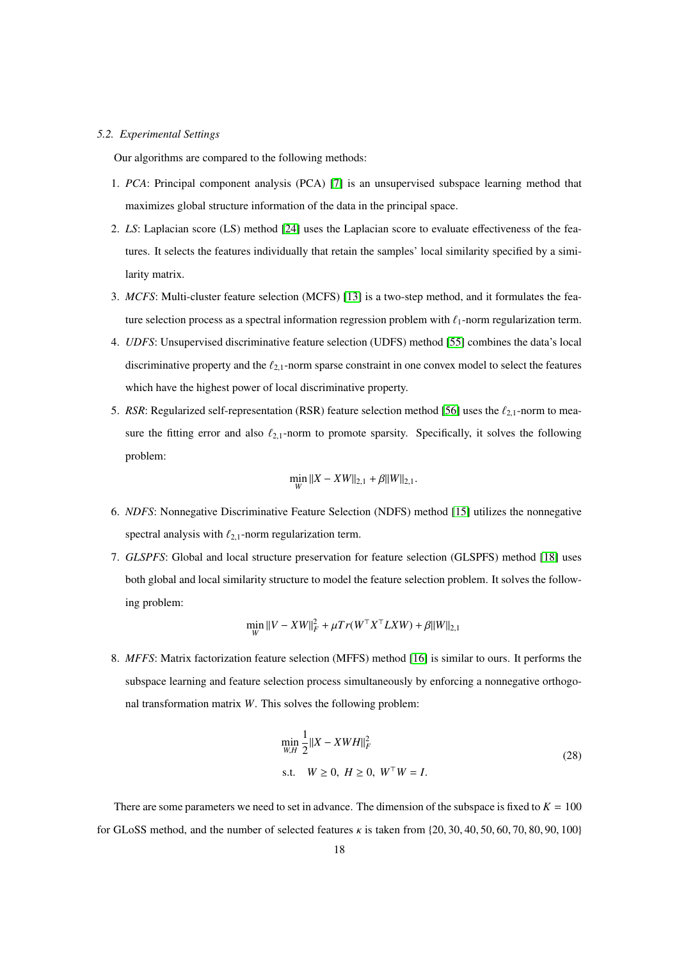#### *5.2. Experimental Settings*

Our algorithms are compared to the following methods:

- 1. *PCA*: Principal component analysis (PCA) [\[7\]](#page-29-6) is an unsupervised subspace learning method that maximizes global structure information of the data in the principal space.
- 2. *LS*: Laplacian score (LS) method [\[24\]](#page-30-5) uses the Laplacian score to evaluate effectiveness of the features. It selects the features individually that retain the samples' local similarity specified by a similarity matrix.
- 3. *MCFS*: Multi-cluster feature selection (MCFS) [\[13\]](#page-29-12) is a two-step method, and it formulates the feature selection process as a spectral information regression problem with  $\ell_1$ -norm regularization term.
- 4. *UDFS*: Unsupervised discriminative feature selection (UDFS) method [\[55\]](#page-31-14) combines the data's local discriminative property and the  $\ell_{2,1}$ -norm sparse constraint in one convex model to select the features which have the highest power of local discriminative property.
- 5. *RSR*: Regularized self-representation (RSR) feature selection method [\[56\]](#page-31-15) uses the  $\ell_{2,1}$ -norm to measure the fitting error and also  $\ell_{2,1}$ -norm to promote sparsity. Specifically, it solves the following problem:

$$
\min_{W} ||X - XW||_{2,1} + \beta ||W||_{2,1}.
$$

- 6. *NDFS*: Nonnegative Discriminative Feature Selection (NDFS) method [\[15\]](#page-29-14) utilizes the nonnegative spectral analysis with  $\ell_{2,1}$ -norm regularization term.
- 7. *GLSPFS*: Global and local structure preservation for feature selection (GLSPFS) method [\[18\]](#page-29-17) uses both global and local similarity structure to model the feature selection problem. It solves the following problem:

$$
\min_{W} ||V - XW||_{F}^{2} + \mu Tr(W^{\top} X^{\top} L X W) + \beta ||W||_{2,1}
$$

8. *MFFS*: Matrix factorization feature selection (MFFS) method [\[16\]](#page-29-15) is similar to ours. It performs the subspace learning and feature selection process simultaneously by enforcing a nonnegative orthogonal transformation matrix *W*. This solves the following problem:

$$
\min_{W,H} \frac{1}{2} ||X - XWH||_F^2
$$
  
s.t.  $W \ge 0, H \ge 0, W^{\top}W = I.$  (28)

There are some parameters we need to set in advance. The dimension of the subspace is fixed to  $K = 100$ for GLoSS method, and the number of selected features  $\kappa$  is taken from {20, 30, 40, 50, 60, 70, 80, 90, 100}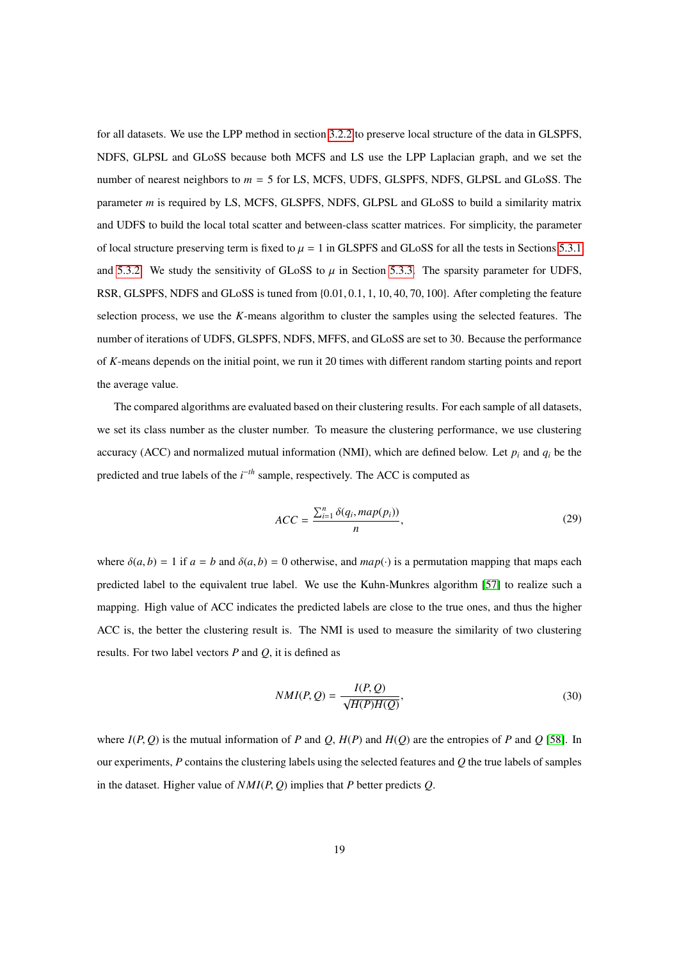for all datasets. We use the LPP method in section [3.2.2](#page-6-4) to preserve local structure of the data in GLSPFS, NDFS, GLPSL and GLoSS because both MCFS and LS use the LPP Laplacian graph, and we set the number of nearest neighbors to *m* = 5 for LS, MCFS, UDFS, GLSPFS, NDFS, GLPSL and GLoSS. The parameter *m* is required by LS, MCFS, GLSPFS, NDFS, GLPSL and GLoSS to build a similarity matrix and UDFS to build the local total scatter and between-class scatter matrices. For simplicity, the parameter of local structure preserving term is fixed to  $\mu = 1$  in GLSPFS and GLoSS for all the tests in Sections [5.3.1](#page-19-0) and [5.3.2.](#page-19-1) We study the sensitivity of GLoSS to  $\mu$  in Section [5.3.3.](#page-20-0) The sparsity parameter for UDFS, RSR, GLSPFS, NDFS and GLoSS is tuned from {0.01, <sup>0</sup>.1, <sup>1</sup>, <sup>10</sup>, <sup>40</sup>, <sup>70</sup>, <sup>100</sup>}. After completing the feature selection process, we use the *K*-means algorithm to cluster the samples using the selected features. The number of iterations of UDFS, GLSPFS, NDFS, MFFS, and GLoSS are set to 30. Because the performance of *K*-means depends on the initial point, we run it 20 times with different random starting points and report the average value.

The compared algorithms are evaluated based on their clustering results. For each sample of all datasets, we set its class number as the cluster number. To measure the clustering performance, we use clustering accuracy (ACC) and normalized mutual information (NMI), which are defined below. Let  $p_i$  and  $q_i$  be the predicted and true labels of the *i*<sup>−th</sup> sample, respectively. The ACC is computed as

$$
ACC = \frac{\sum_{i=1}^{n} \delta(q_i, map(p_i))}{n},
$$
\n(29)

where  $\delta(a, b) = 1$  if  $a = b$  and  $\delta(a, b) = 0$  otherwise, and  $map(\cdot)$  is a permutation mapping that maps each predicted label to the equivalent true label. We use the Kuhn-Munkres algorithm [\[57\]](#page-31-16) to realize such a mapping. High value of ACC indicates the predicted labels are close to the true ones, and thus the higher ACC is, the better the clustering result is. The NMI is used to measure the similarity of two clustering results. For two label vectors *P* and *Q*, it is defined as

$$
NMI(P,Q) = \frac{I(P,Q)}{\sqrt{H(P)H(Q)}},
$$
\n(30)

where  $I(P, Q)$  is the mutual information of *P* and *Q*,  $H(P)$  and  $H(Q)$  are the entropies of *P* and *Q* [\[58\]](#page-31-17). In our experiments, *P* contains the clustering labels using the selected features and *Q* the true labels of samples in the dataset. Higher value of  $NMI(P, Q)$  implies that *P* better predicts  $Q$ .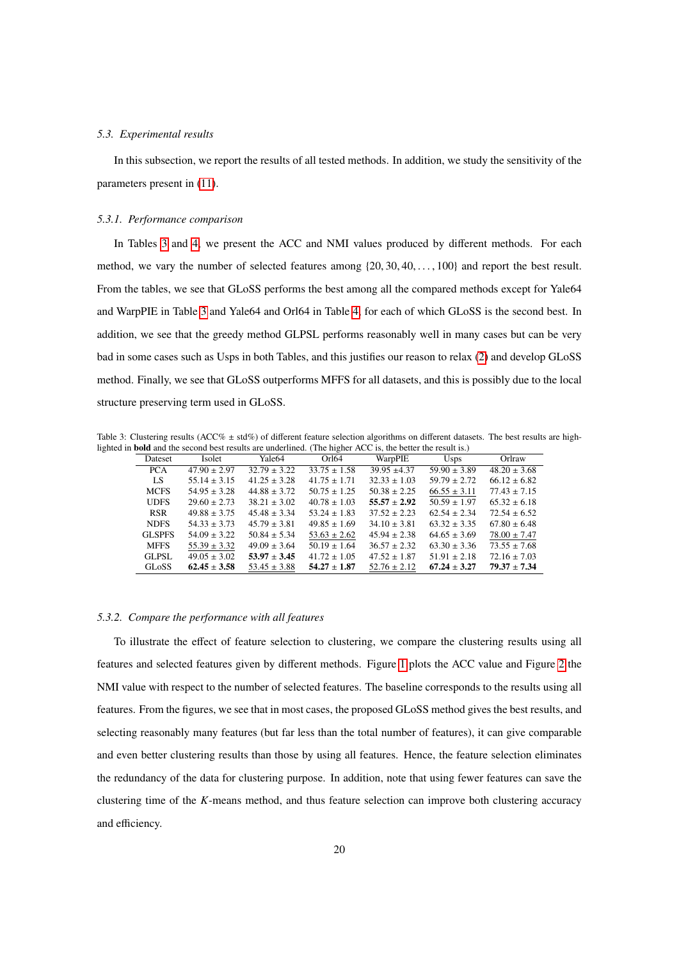#### *5.3. Experimental results*

In this subsection, we report the results of all tested methods. In addition, we study the sensitivity of the parameters present in [\(11\)](#page-7-0).

#### <span id="page-19-0"></span>*5.3.1. Performance comparison*

In Tables [3](#page-19-2) and [4,](#page-20-1) we present the ACC and NMI values produced by different methods. For each method, we vary the number of selected features among {20, <sup>30</sup>, <sup>40</sup>, . . . , <sup>100</sup>} and report the best result. From the tables, we see that GLoSS performs the best among all the compared methods except for Yale64 and WarpPIE in Table [3](#page-19-2) and Yale64 and Orl64 in Table [4,](#page-20-1) for each of which GLoSS is the second best. In addition, we see that the greedy method GLPSL performs reasonably well in many cases but can be very bad in some cases such as Usps in both Tables, and this justifies our reason to relax [\(2\)](#page-5-0) and develop GLoSS method. Finally, we see that GLoSS outperforms MFFS for all datasets, and this is possibly due to the local structure preserving term used in GLoSS.

Table 3: Clustering results (ACC% ± std%) of different feature selection algorithms on different datasets. The best results are highlighted in bold and the second best results are underlined. (The higher ACC is, the better the result is.)

<span id="page-19-2"></span>

| Dateset       | Isolet           | Yale64           | Orl <sub>64</sub> | WarpPIE          | <b>Usps</b>      | Orlraw           |
|---------------|------------------|------------------|-------------------|------------------|------------------|------------------|
| <b>PCA</b>    | $47.90 \pm 2.97$ | $32.79 \pm 3.22$ | $33.75 \pm 1.58$  | $39.95 + 4.37$   | $59.90 \pm 3.89$ | $48.20 \pm 3.68$ |
| LS.           | $55.14 \pm 3.15$ | $41.25 \pm 3.28$ | $41.75 \pm 1.71$  | $32.33 \pm 1.03$ | $59.79 \pm 2.72$ | $66.12 \pm 6.82$ |
| <b>MCFS</b>   | $54.95 + 3.28$   | $44.88 \pm 3.72$ | $50.75 \pm 1.25$  | $50.38 + 2.25$   | $66.55 \pm 3.11$ | $77.43 \pm 7.15$ |
| <b>UDES</b>   | $29.60 \pm 2.73$ | $38.21 \pm 3.02$ | $40.78 \pm 1.03$  | $55.57 + 2.92$   | $50.59 \pm 1.97$ | $65.32 \pm 6.18$ |
| <b>RSR</b>    | $49.88 + 3.75$   | $45.48 \pm 3.34$ | $53.24 \pm 1.83$  | $37.52 + 2.23$   | $62.54 \pm 2.34$ | $72.54 \pm 6.52$ |
| <b>NDFS</b>   | $54.33 + 3.73$   | $45.79 \pm 3.81$ | $49.85 \pm 1.69$  | $34.10 \pm 3.81$ | $63.32 + 3.35$   | $67.80 \pm 6.48$ |
| <b>GLSPES</b> | $54.09 + 3.22$   | $50.84 \pm 5.34$ | $53.63 \pm 2.62$  | $45.94 \pm 2.38$ | $64.65 \pm 3.69$ | $78.00 \pm 7.47$ |
| <b>MFFS</b>   | $55.39 \pm 3.32$ | $49.09 \pm 3.64$ | $50.19 \pm 1.64$  | $36.57 \pm 2.32$ | $63.30 \pm 3.36$ | $73.55 \pm 7.68$ |
| GLPSL         | $49.05 \pm 3.02$ | $53.97 \pm 3.45$ | $41.72 \pm 1.05$  | $47.52 \pm 1.87$ | $51.91 \pm 2.18$ | $72.16 \pm 7.03$ |
| <b>GLoSS</b>  | $62.45 \pm 3.58$ | $53.45 \pm 3.88$ | $54.27 \pm 1.87$  | $52.76 \pm 2.12$ | $67.24 \pm 3.27$ | $79.37 + 7.34$   |

# <span id="page-19-1"></span>*5.3.2. Compare the performance with all features*

To illustrate the effect of feature selection to clustering, we compare the clustering results using all features and selected features given by different methods. Figure [1](#page-20-2) plots the ACC value and Figure [2](#page-21-1) the NMI value with respect to the number of selected features. The baseline corresponds to the results using all features. From the figures, we see that in most cases, the proposed GLoSS method gives the best results, and selecting reasonably many features (but far less than the total number of features), it can give comparable and even better clustering results than those by using all features. Hence, the feature selection eliminates the redundancy of the data for clustering purpose. In addition, note that using fewer features can save the clustering time of the *K*-means method, and thus feature selection can improve both clustering accuracy and efficiency.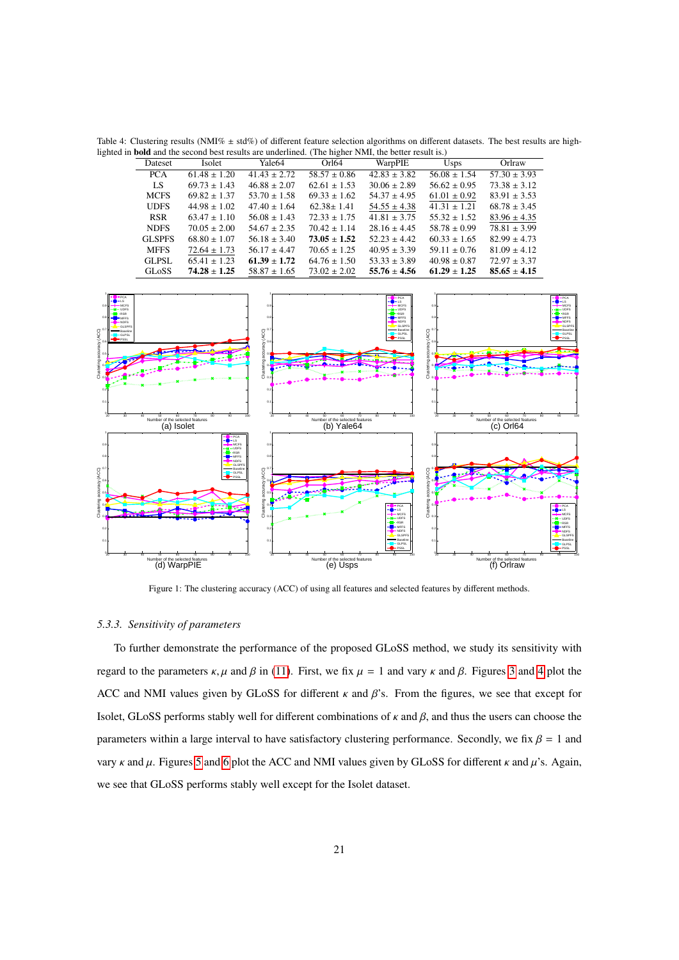<span id="page-20-1"></span>Table 4: Clustering results (NMI%  $\pm$  std%) of different feature selection algorithms on different datasets. The best results are highlighted in **bold** and the second best results are underlined. (The higher NMI, the better result is.)

| $56.08 \pm 1.54$<br>$57.30 \pm 3.93$<br>PCA<br>$61.48 \pm 1.20$<br>$41.43 \pm 2.72$<br>$58.57 \pm 0.86$<br>$42.83 \pm 3.82$<br>LS.<br>$56.62\pm0.95$<br>$69.73 \pm 1.43$<br>$46.88 \pm 2.07$<br>$62.61 \pm 1.53$<br>$30.06 \pm 2.89$<br>$73.38 \pm 3.12$<br><b>MCFS</b><br>$69.82 \pm 1.37$<br>$53.70 \pm 1.58$<br>$69.33 \pm 1.62$<br>$54.37 \pm 4.95$<br>$61.01 \pm 0.92$<br>$83.91 \pm 3.53$<br><b>UDFS</b><br>$44.98 \pm 1.02$<br>$47.40 \pm 1.64$<br>$62.38 \pm 1.41$<br>$54.55 \pm 4.38$<br>$41.31 \pm 1.21$<br>$68.78 \pm 3.45$<br><b>RSR</b><br>$63.47 \pm 1.10$<br>$56.08 \pm 1.43$<br>$72.33 \pm 1.75$<br>$41.81 \pm 3.75$<br>$55.32 \pm 1.52$<br>$83.96 \pm 4.35$<br>$78.81 \pm 3.99$<br><b>NDFS</b><br>$70.05 \pm 2.00$<br>$54.67 \pm 2.35$<br>$70.42 \pm 1.14$<br>$28.16 \pm 4.45$<br>$58.78 \pm 0.99$<br><b>GLSPFS</b><br>$68.80 \pm 1.07$<br>$56.18 \pm 3.40$<br>$73.05 \pm 1.52$<br>$52.23 \pm 4.42$<br>$60.33 \pm 1.65$<br>$82.99 \pm 4.73$<br><b>MFFS</b><br>$56.17 \pm 4.47$<br>$70.65 \pm 1.25$<br>$40.95 \pm 3.39$<br>$59.11 \pm 0.76$<br>$81.09 \pm 4.12$<br>$72.64 \pm 1.73$<br>$65.41 \pm 1.23$<br>$61.39 \pm 1.72$<br>$40.98 \pm 0.87$<br><b>GLPSL</b><br>$64.76 \pm 1.50$<br>$53.33 \pm 3.89$<br>$72.97 \pm 3.37$<br><b>GLoSS</b><br>$74.28 \pm 1.25$<br>$61.29 \pm 1.25$<br>$58.87 \pm 1.65$<br>$73.02 \pm 2.02$<br>$55.76 \pm 4.56$<br>$85.65 \pm 4.15$<br>PCA<br>$-PC$<br>LS.<br>$\bullet$ -LS<br>MCFS<br>o٠<br>$-MCFS$<br><b>LIDES</b><br><b>MILLIDES</b><br>a.<br>$\blacksquare$<br>· RSR<br>0.8<br>$-$ MFFS<br><b>MFFS</b><br>NDFS<br>NDES.<br>GLSPES<br><b>GLSPE</b><br>(ACG)<br>(ACC)<br>Baselin<br>(ACC)<br>- GLPSL<br><b>GLPSL</b><br>- PSSI<br>pssi<br>0.6<br>Clustering accuracy<br>Clustering accuracy<br>Agenco<br>Clustering<br>o.<br>ö.<br>50 60 70<br>Number of the selected features<br>100<br>Number of the selected features<br>(b) Yale64<br>Number of the selected features<br>(C) OrI64<br>(a) Isolet<br>$-PCA$<br>$\bullet$ -LS<br>0.9<br><b>MCFS</b><br><b>X</b> UDFS<br><b>RSR</b><br>- MFFS<br>0.8<br>01<br><b>NDES</b><br>GLSPF:<br>$\alpha$<br>$\sum_{n=1}^{\infty}$<br>Raselin<br>(ACC)<br>(ACC)<br><b>GLPSL</b><br>0.6<br>eccuracy<br>Clustering accuracy<br>Acence<br>Clustering a<br>ustering<br>$-PCA$<br><b>O-</b> LS<br><b>MCFS</b><br>0.3<br>$\mathbf{x}$ UDFS<br>$\blacksquare$ RSR<br>$H$ MFFS<br>0.2<br>NDES<br><b>GLSPF</b> | Dateset | Isolet | Yale <sub>64</sub> | Orl <sub>64</sub> | WarpPIE | <b>Usps</b> | Orlraw |                                                                                                                                                  |
|------------------------------------------------------------------------------------------------------------------------------------------------------------------------------------------------------------------------------------------------------------------------------------------------------------------------------------------------------------------------------------------------------------------------------------------------------------------------------------------------------------------------------------------------------------------------------------------------------------------------------------------------------------------------------------------------------------------------------------------------------------------------------------------------------------------------------------------------------------------------------------------------------------------------------------------------------------------------------------------------------------------------------------------------------------------------------------------------------------------------------------------------------------------------------------------------------------------------------------------------------------------------------------------------------------------------------------------------------------------------------------------------------------------------------------------------------------------------------------------------------------------------------------------------------------------------------------------------------------------------------------------------------------------------------------------------------------------------------------------------------------------------------------------------------------------------------------------------------------------------------------------------------------------------------------------------------------------------------------------------------------------------------------------------------------------------------------------------------------------------------------------------------------------------------------------------------------------------------------------------------------------------------------------------------------------------------------------------------------------------------------------------|---------|--------|--------------------|-------------------|---------|-------------|--------|--------------------------------------------------------------------------------------------------------------------------------------------------|
|                                                                                                                                                                                                                                                                                                                                                                                                                                                                                                                                                                                                                                                                                                                                                                                                                                                                                                                                                                                                                                                                                                                                                                                                                                                                                                                                                                                                                                                                                                                                                                                                                                                                                                                                                                                                                                                                                                                                                                                                                                                                                                                                                                                                                                                                                                                                                                                                |         |        |                    |                   |         |             |        |                                                                                                                                                  |
|                                                                                                                                                                                                                                                                                                                                                                                                                                                                                                                                                                                                                                                                                                                                                                                                                                                                                                                                                                                                                                                                                                                                                                                                                                                                                                                                                                                                                                                                                                                                                                                                                                                                                                                                                                                                                                                                                                                                                                                                                                                                                                                                                                                                                                                                                                                                                                                                |         |        |                    |                   |         |             |        |                                                                                                                                                  |
|                                                                                                                                                                                                                                                                                                                                                                                                                                                                                                                                                                                                                                                                                                                                                                                                                                                                                                                                                                                                                                                                                                                                                                                                                                                                                                                                                                                                                                                                                                                                                                                                                                                                                                                                                                                                                                                                                                                                                                                                                                                                                                                                                                                                                                                                                                                                                                                                |         |        |                    |                   |         |             |        |                                                                                                                                                  |
|                                                                                                                                                                                                                                                                                                                                                                                                                                                                                                                                                                                                                                                                                                                                                                                                                                                                                                                                                                                                                                                                                                                                                                                                                                                                                                                                                                                                                                                                                                                                                                                                                                                                                                                                                                                                                                                                                                                                                                                                                                                                                                                                                                                                                                                                                                                                                                                                |         |        |                    |                   |         |             |        |                                                                                                                                                  |
|                                                                                                                                                                                                                                                                                                                                                                                                                                                                                                                                                                                                                                                                                                                                                                                                                                                                                                                                                                                                                                                                                                                                                                                                                                                                                                                                                                                                                                                                                                                                                                                                                                                                                                                                                                                                                                                                                                                                                                                                                                                                                                                                                                                                                                                                                                                                                                                                |         |        |                    |                   |         |             |        |                                                                                                                                                  |
|                                                                                                                                                                                                                                                                                                                                                                                                                                                                                                                                                                                                                                                                                                                                                                                                                                                                                                                                                                                                                                                                                                                                                                                                                                                                                                                                                                                                                                                                                                                                                                                                                                                                                                                                                                                                                                                                                                                                                                                                                                                                                                                                                                                                                                                                                                                                                                                                |         |        |                    |                   |         |             |        |                                                                                                                                                  |
|                                                                                                                                                                                                                                                                                                                                                                                                                                                                                                                                                                                                                                                                                                                                                                                                                                                                                                                                                                                                                                                                                                                                                                                                                                                                                                                                                                                                                                                                                                                                                                                                                                                                                                                                                                                                                                                                                                                                                                                                                                                                                                                                                                                                                                                                                                                                                                                                |         |        |                    |                   |         |             |        |                                                                                                                                                  |
|                                                                                                                                                                                                                                                                                                                                                                                                                                                                                                                                                                                                                                                                                                                                                                                                                                                                                                                                                                                                                                                                                                                                                                                                                                                                                                                                                                                                                                                                                                                                                                                                                                                                                                                                                                                                                                                                                                                                                                                                                                                                                                                                                                                                                                                                                                                                                                                                |         |        |                    |                   |         |             |        |                                                                                                                                                  |
|                                                                                                                                                                                                                                                                                                                                                                                                                                                                                                                                                                                                                                                                                                                                                                                                                                                                                                                                                                                                                                                                                                                                                                                                                                                                                                                                                                                                                                                                                                                                                                                                                                                                                                                                                                                                                                                                                                                                                                                                                                                                                                                                                                                                                                                                                                                                                                                                |         |        |                    |                   |         |             |        |                                                                                                                                                  |
|                                                                                                                                                                                                                                                                                                                                                                                                                                                                                                                                                                                                                                                                                                                                                                                                                                                                                                                                                                                                                                                                                                                                                                                                                                                                                                                                                                                                                                                                                                                                                                                                                                                                                                                                                                                                                                                                                                                                                                                                                                                                                                                                                                                                                                                                                                                                                                                                |         |        |                    |                   |         |             |        |                                                                                                                                                  |
|                                                                                                                                                                                                                                                                                                                                                                                                                                                                                                                                                                                                                                                                                                                                                                                                                                                                                                                                                                                                                                                                                                                                                                                                                                                                                                                                                                                                                                                                                                                                                                                                                                                                                                                                                                                                                                                                                                                                                                                                                                                                                                                                                                                                                                                                                                                                                                                                |         |        |                    |                   |         |             |        | $\bullet$ -LS<br><b>MCES</b><br>$\mathbf{w}$ . Times<br>· RSR<br><b>MEES</b><br><b>NDFS</b><br><b>GLSPE</b><br><b>Raselin</b><br>GLPSL           |
| <b>GLPSL</b><br>- PSSL<br>Number of the selected features<br>Number of the selected features<br>Number of the selected features<br>(d) WarpPIE<br>(f) Orlraw<br>(e) Usps                                                                                                                                                                                                                                                                                                                                                                                                                                                                                                                                                                                                                                                                                                                                                                                                                                                                                                                                                                                                                                                                                                                                                                                                                                                                                                                                                                                                                                                                                                                                                                                                                                                                                                                                                                                                                                                                                                                                                                                                                                                                                                                                                                                                                       |         |        | 0.1                |                   | Baselin |             |        | $-PCA$<br>$\bullet$ -LS<br>$-MCFS$<br>$\frac{1}{2}$ UDFS<br>$\blacksquare$ RSR<br>$H$ MFFS<br>NDES<br>GLSPE<br>Baselin<br><b>GLPSL</b><br>· PSSI |

<span id="page-20-2"></span>Figure 1: The clustering accuracy (ACC) of using all features and selected features by different methods.

# <span id="page-20-0"></span>*5.3.3. Sensitivity of parameters*

To further demonstrate the performance of the proposed GLoSS method, we study its sensitivity with regard to the parameters κ, μ and β in [\(11\)](#page-7-0). First, we fix  $\mu = 1$  and vary κ and β. Figures [3](#page-21-2) and [4](#page-22-0) plot the ACC and NMI values given by GLoSS for different  $\kappa$  and  $\beta$ 's. From the figures, we see that except for Isolet, GLoSS performs stably well for different combinations of  $κ$  and  $β$ , and thus the users can choose the parameters within a large interval to have satisfactory clustering performance. Secondly, we fix  $\beta = 1$  and vary κ and  $\mu$ . Figures [5](#page-22-1) and [6](#page-23-0) plot the ACC and NMI values given by GLoSS for different κ and  $\mu$ 's. Again, we see that GLoSS performs stably well except for the Isolet dataset.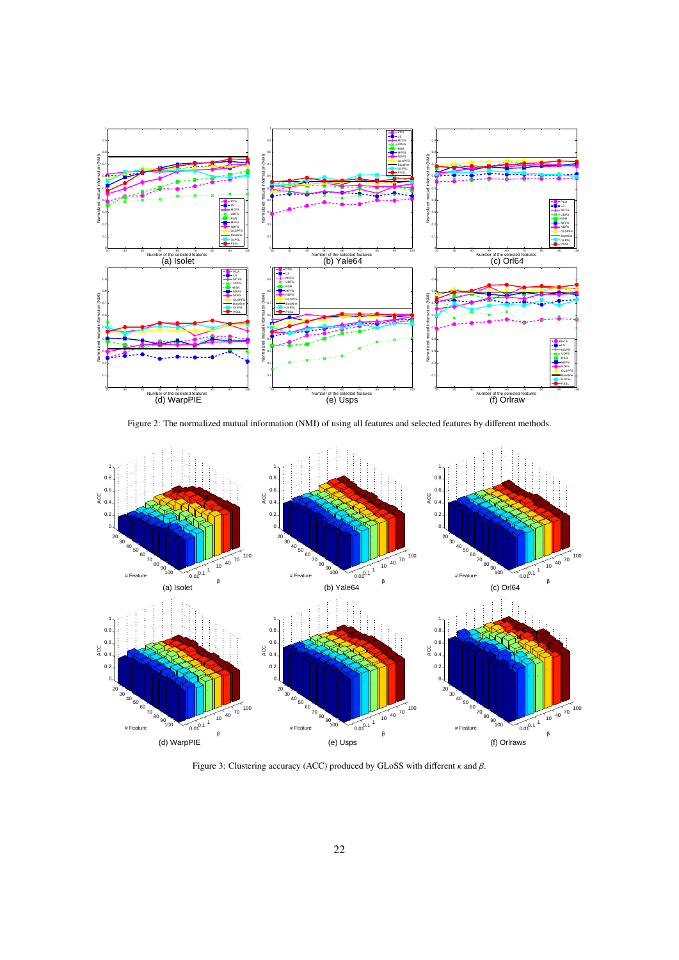

<span id="page-21-1"></span>Figure 2: The normalized mutual information (NMI) of using all features and selected features by different methods.



<span id="page-21-2"></span><span id="page-21-0"></span>Figure 3: Clustering accuracy (ACC) produced by GLoSS with different  $\kappa$  and  $\beta$ .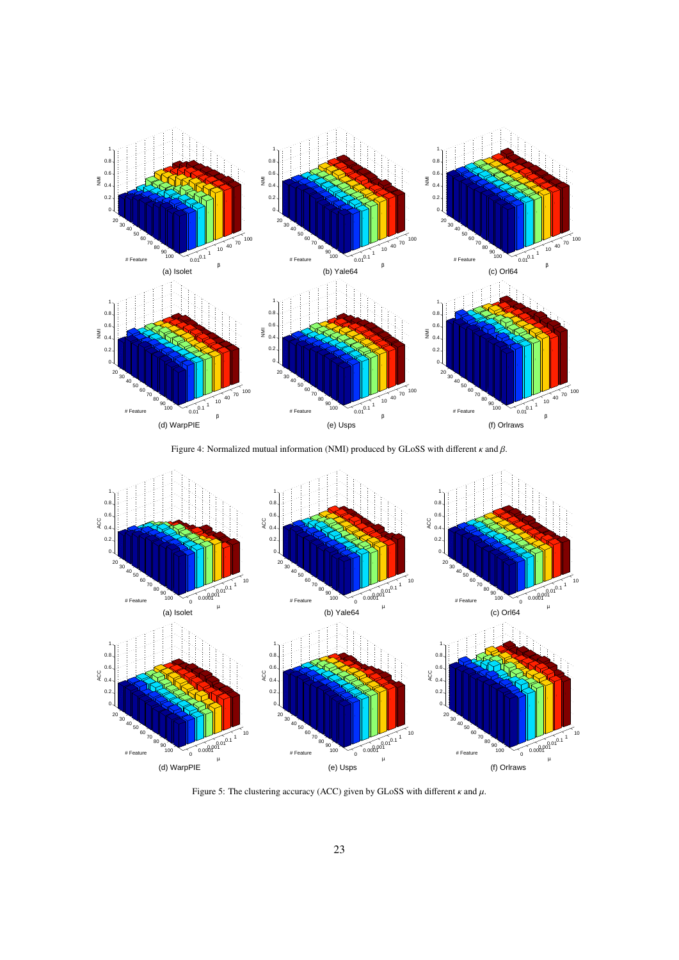

<span id="page-22-0"></span>Figure 4: Normalized mutual information (NMI) produced by GLoSS with different  $\kappa$  and  $\beta$ .



<span id="page-22-1"></span>Figure 5: The clustering accuracy (ACC) given by GLoSS with different  $\kappa$  and  $\mu$ .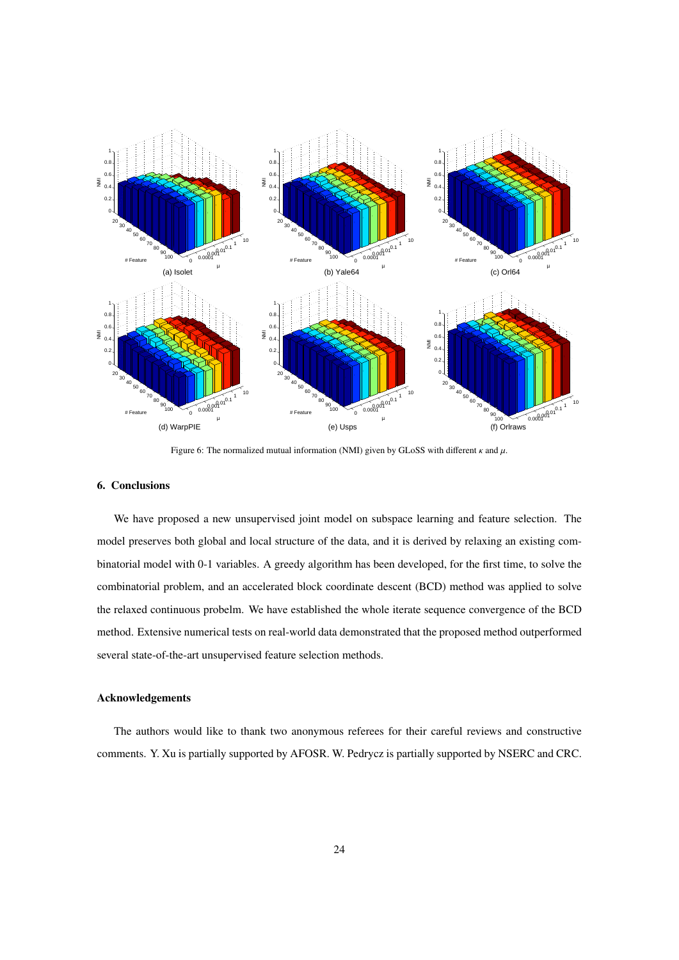

<span id="page-23-0"></span>Figure 6: The normalized mutual information (NMI) given by GLoSS with different  $\kappa$  and  $\mu$ .

## 6. Conclusions

We have proposed a new unsupervised joint model on subspace learning and feature selection. The model preserves both global and local structure of the data, and it is derived by relaxing an existing combinatorial model with 0-1 variables. A greedy algorithm has been developed, for the first time, to solve the combinatorial problem, and an accelerated block coordinate descent (BCD) method was applied to solve the relaxed continuous probelm. We have established the whole iterate sequence convergence of the BCD method. Extensive numerical tests on real-world data demonstrated that the proposed method outperformed several state-of-the-art unsupervised feature selection methods.

# Acknowledgements

The authors would like to thank two anonymous referees for their careful reviews and constructive comments. Y. Xu is partially supported by AFOSR. W. Pedrycz is partially supported by NSERC and CRC.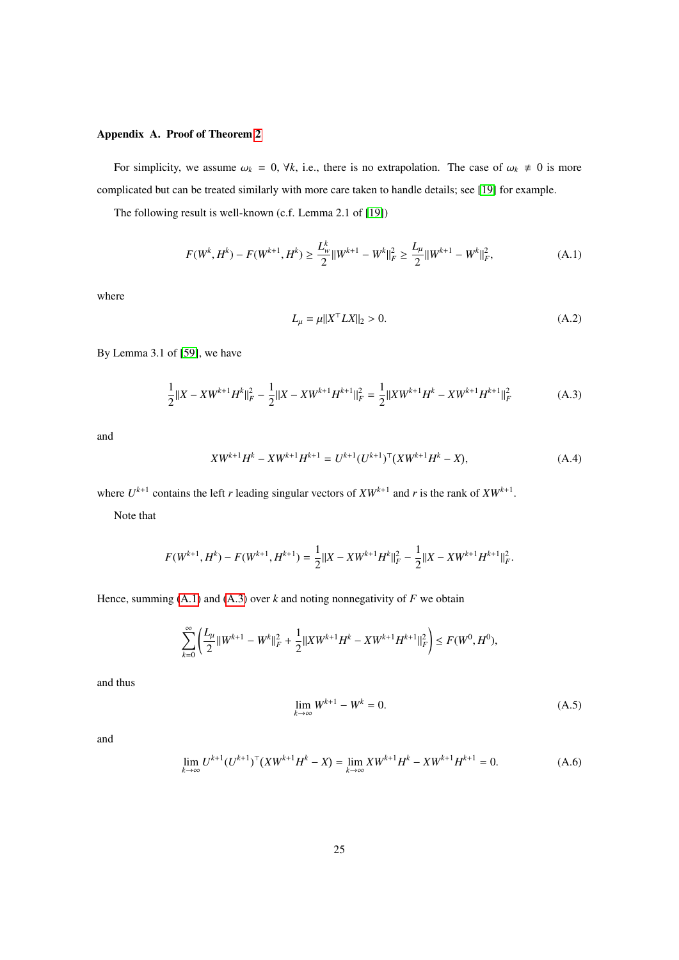# Appendix A. Proof of Theorem [2](#page-16-2)

For simplicity, we assume  $\omega_k = 0$ ,  $\forall k$ , i.e., there is no extrapolation. The case of  $\omega_k \neq 0$  is more complicated but can be treated similarly with more care taken to handle details; see [\[19\]](#page-30-0) for example.

The following result is well-known (c.f. Lemma 2.1 of [\[19\]](#page-30-0))

<span id="page-24-0"></span>
$$
F(W^k, H^k) - F(W^{k+1}, H^k) \ge \frac{L_w^k}{2} ||W^{k+1} - W^k||_F^2 \ge \frac{L_\mu}{2} ||W^{k+1} - W^k||_F^2,
$$
 (A.1)

where

<span id="page-24-4"></span>
$$
L_{\mu} = \mu ||X^{\top} L X||_2 > 0. \tag{A.2}
$$

By Lemma 3.1 of [\[59\]](#page-31-18), we have

<span id="page-24-1"></span>
$$
\frac{1}{2}||X - XW^{k+1}H^k||_F^2 - \frac{1}{2}||X - XW^{k+1}H^{k+1}||_F^2 = \frac{1}{2}||XW^{k+1}H^k - XW^{k+1}H^{k+1}||_F^2
$$
 (A.3)

and

$$
XW^{k+1}H^k - XW^{k+1}H^{k+1} = U^{k+1}(U^{k+1})^{\top}(XW^{k+1}H^k - X),
$$
\n(A.4)

where  $U^{k+1}$  contains the left *r* leading singular vectors of  $XW^{k+1}$  and *r* is the rank of  $XW^{k+1}$ .

Note that

$$
F(W^{k+1}, H^k) - F(W^{k+1}, H^{k+1}) = \frac{1}{2} ||X - XW^{k+1}H^k||_F^2 - \frac{1}{2} ||X - XW^{k+1}H^{k+1}||_F^2
$$

Hence, summing  $(A.1)$  and  $(A.3)$  over  $k$  and noting nonnegativity of  $F$  we obtain

$$
\sum_{k=0}^{\infty} \left( \frac{L_{\mu}}{2} ||W^{k+1} - W^k||_F^2 + \frac{1}{2} ||XW^{k+1}H^k - XW^{k+1}H^{k+1}||_F^2 \right) \leq F(W^0, H^0),
$$

and thus

<span id="page-24-3"></span>
$$
\lim_{k \to \infty} W^{k+1} - W^k = 0.
$$
\n(A.5)

and

<span id="page-24-2"></span>
$$
\lim_{k \to \infty} U^{k+1} (U^{k+1})^{\top} (X W^{k+1} H^k - X) = \lim_{k \to \infty} X W^{k+1} H^k - X W^{k+1} H^{k+1} = 0.
$$
 (A.6)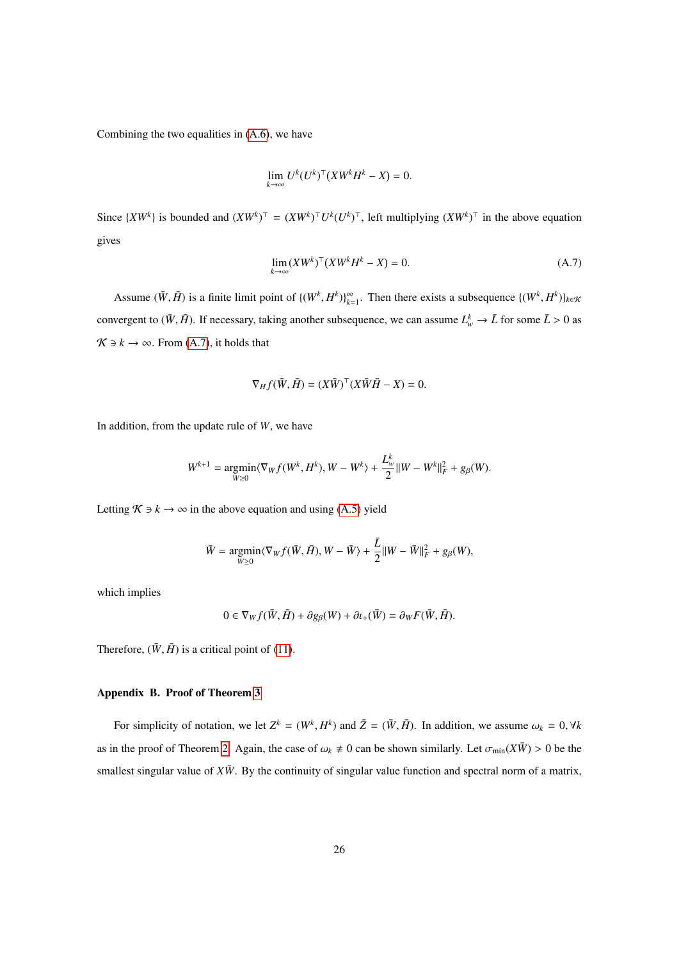Combining the two equalities in [\(A.6\)](#page-24-2), we have

$$
\lim_{k\to\infty} U^k (U^k)^\top (XW^k H^k - X) = 0.
$$

Since  $\{XW^k\}$  is bounded and  $(XW^k)^\top = (XW^k)^\top U^k (U^k)^\top$ , left multiplying  $(XW^k)^\top$  in the above equation gives

<span id="page-25-0"></span>
$$
\lim_{k \to \infty} (XW^k)^\top (XW^k H^k - X) = 0. \tag{A.7}
$$

Assume  $(\bar{W}, \bar{H})$  is a finite limit point of  $\{(W^k, H^k)\}_{k=1}^{\infty}$ . Then there exists a subsequence  $\{(W^k, H^k)\}_{k \in \mathcal{R}}$ convergent to  $(\bar{W}, \bar{H})$ . If necessary, taking another subsequence, we can assume  $L^k_w \to \bar{L}$  for some  $\bar{L} > 0$  as  $\mathcal{K} \ni k \to \infty$ . From [\(A.7\)](#page-25-0), it holds that

$$
\nabla_H f(\bar{W}, \bar{H}) = (X\bar{W})^\top (X\bar{W}\bar{H} - X) = 0.
$$

In addition, from the update rule of *W*, we have

$$
W^{k+1} = \underset{W \ge 0}{\text{argmin}} \langle \nabla_W f(W^k, H^k), W - W^k \rangle + \frac{L^k_w}{2} ||W - W^k||^2_F + g_\beta(W).
$$

Letting  $\mathcal{K} \ni k \to \infty$  in the above equation and using [\(A.5\)](#page-24-3) yield

$$
\bar{W} = \underset{W \ge 0}{\text{argmin}} \langle \nabla_W f(\bar{W}, \bar{H}), W - \bar{W} \rangle + \frac{\bar{L}}{2} ||W - \bar{W}||^2_F + g_\beta(W),
$$

which implies

$$
0 \in \nabla_W f(\bar{W}, \bar{H}) + \partial g_{\beta}(W) + \partial u_+(\bar{W}) = \partial_W F(\bar{W}, \bar{H}).
$$

Therefore,  $(\bar{W}, \bar{H})$  is a critical point of [\(11\)](#page-7-0).

# Appendix B. Proof of Theorem [3](#page-16-3)

For simplicity of notation, we let  $Z^k = (W^k, H^k)$  and  $\bar{Z} = (\bar{W}, \bar{H})$ . In addition, we assume  $\omega_k = 0, \forall k$ as in the proof of Theorem [2.](#page-16-2) Again, the case of  $\omega_k \neq 0$  can be shown similarly. Let  $\sigma_{min}(X\bar{W}) > 0$  be the smallest singular value of  $X\bar{W}$ . By the continuity of singular value function and spectral norm of a matrix,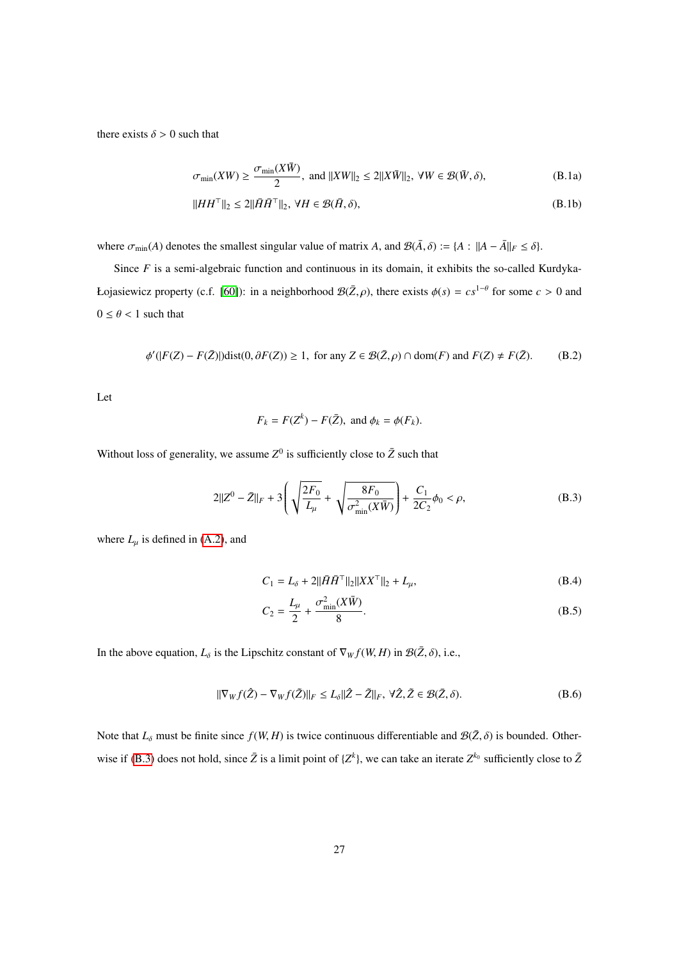there exists  $\delta > 0$  such that

<span id="page-26-2"></span><span id="page-26-1"></span>
$$
\sigma_{\min}(XW) \ge \frac{\sigma_{\min}(X\bar{W})}{2}, \text{ and } ||XW||_2 \le 2||X\bar{W}||_2, \ \forall W \in \mathcal{B}(\bar{W}, \delta), \tag{B.1a}
$$

$$
||HH^{\top}||_2 \le 2||\tilde{H}\tilde{H}^{\top}||_2, \ \forall H \in \mathcal{B}(\tilde{H},\delta),\tag{B.1b}
$$

where  $\sigma_{\min}(A)$  denotes the smallest singular value of matrix *A*, and  $\mathcal{B}(\bar{A}, \delta) := \{A : ||A - \bar{A}||_F \le \delta\}.$ 

Since *F* is a semi-algebraic function and continuous in its domain, it exhibits the so-called Kurdyka-*Łojasiewicz property* (*c.f.* [\[60\]](#page-31-19)): in a neighborhood  $B(\bar{Z}, \rho)$ , there exists  $\phi(s) = cs^{1-\theta}$  for some *c* > 0 and  $0 \le \theta < 1$  such that

<span id="page-26-4"></span>
$$
\phi'(|F(Z) - F(\bar{Z})|)dist(0, \partial F(Z)) \ge 1, \text{ for any } Z \in \mathcal{B}(\bar{Z}, \rho) \cap dom(F) \text{ and } F(Z) \ne F(\bar{Z}).
$$
 (B.2)

Let

$$
F_k = F(Z^k) - F(\bar{Z}), \text{ and } \phi_k = \phi(F_k).
$$

Without loss of generality, we assume  $Z^0$  is sufficiently close to  $\bar{Z}$  such that

<span id="page-26-0"></span>
$$
2||Z^{0} - \bar{Z}||_{F} + 3\left(\sqrt{\frac{2F_{0}}{L_{\mu}}} + \sqrt{\frac{8F_{0}}{\sigma_{\min}^{2}(X\bar{W})}}\right) + \frac{C_{1}}{2C_{2}}\phi_{0} < \rho, \tag{B.3}
$$

where  $L_{\mu}$  is defined in [\(A.2\)](#page-24-4), and

<span id="page-26-3"></span>
$$
C_1 = L_{\delta} + 2||\bar{H}\bar{H}^{\top}||_2||XX^{\top}||_2 + L_{\mu},
$$
\n(B.4)

<span id="page-26-5"></span>
$$
C_2 = \frac{L_\mu}{2} + \frac{\sigma_{\min}^2(X\bar{W})}{8}.
$$
 (B.5)

In the above equation,  $L_{\delta}$  is the Lipschitz constant of  $\nabla_W f(W, H)$  in  $\mathcal{B}(\bar{Z}, \delta)$ , i.e.,

$$
\|\nabla_{W} f(\hat{Z}) - \nabla_{W} f(\tilde{Z})\|_{F} \le L_{\delta} \|\hat{Z} - \tilde{Z}\|_{F}, \ \forall \hat{Z}, \tilde{Z} \in \mathcal{B}(\bar{Z}, \delta). \tag{B.6}
$$

Note that  $L_{\delta}$  must be finite since  $f(W, H)$  is twice continuous differentiable and  $\mathcal{B}(\bar{Z}, \delta)$  is bounded. Other-wise if [\(B.3\)](#page-26-0) does not hold, since  $\bar{Z}$  is a limit point of  $\{Z^k\}$ , we can take an iterate  $Z^{k_0}$  sufficiently close to  $\bar{Z}$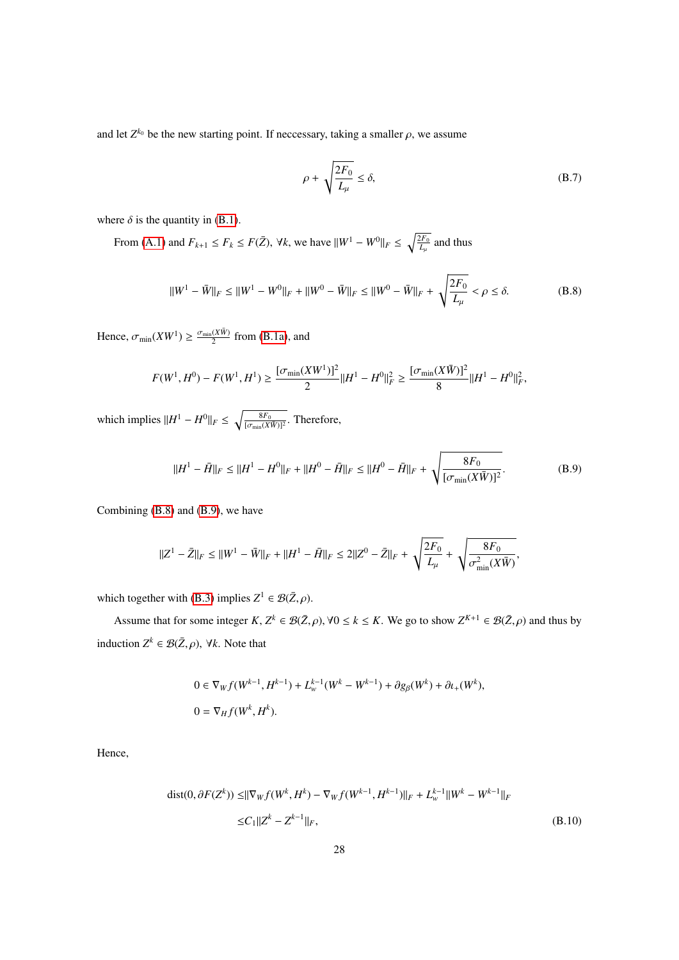and let  $Z^{k_0}$  be the new starting point. If neccessary, taking a smaller  $\rho$ , we assume

$$
\rho + \sqrt{\frac{2F_0}{L_\mu}} \le \delta,\tag{B.7}
$$

where  $\delta$  is the quantity in [\(B.1\)](#page-26-1).

From [\(A.1\)](#page-24-0) and  $F_{k+1} \le F_k \le F(\bar{Z})$ ,  $\forall k$ , we have  $||W^1 - W^0||_F \le \sqrt{\frac{2F_0}{L_\mu}}$  and thus

<span id="page-27-0"></span>
$$
||W^{1} - \bar{W}||_{F} \le ||W^{1} - W^{0}||_{F} + ||W^{0} - \bar{W}||_{F} \le ||W^{0} - \bar{W}||_{F} + \sqrt{\frac{2F_{0}}{L_{\mu}}} < \rho \le \delta.
$$
 (B.8)

Hence,  $\sigma_{\min}(XW^1) \ge \frac{\sigma_{\min}(X\bar{W})}{2}$  from [\(B.1a\)](#page-26-2), and

$$
F(W^1, H^0) - F(W^1, H^1) \ge \frac{[\sigma_{\min}(XW^1)]^2}{2} ||H^1 - H^0||_F^2 \ge \frac{[\sigma_{\min}(X\bar{W})]^2}{8} ||H^1 - H^0||_F^2,
$$

which implies  $||H^1 - H^0||_F \le \sqrt{\frac{8F_0}{[\sigma_{\min}(X\bar{W})]^2}}$ . Therefore,

<span id="page-27-1"></span>
$$
||H^{1} - \bar{H}||_{F} \le ||H^{1} - H^{0}||_{F} + ||H^{0} - \bar{H}||_{F} \le ||H^{0} - \bar{H}||_{F} + \sqrt{\frac{8F_{0}}{[\sigma_{\min}(X\bar{W})]^{2}}}.
$$
(B.9)

Combining [\(B.8\)](#page-27-0) and [\(B.9\)](#page-27-1), we have

$$
||Z^1 - \bar{Z}||_F \le ||W^1 - \bar{W}||_F + ||H^1 - \bar{H}||_F \le 2||Z^0 - \bar{Z}||_F + \sqrt{\frac{2F_0}{L_\mu}} + \sqrt{\frac{8F_0}{\sigma_{\min}^2(X\bar{W})}},
$$

which together with [\(B.3\)](#page-26-0) implies  $Z^1 \in \mathcal{B}(\bar{Z}, \rho)$ .

Assume that for some integer  $K, Z^k \in \mathcal{B}(\bar{Z}, \rho)$ ,  $\forall 0 \le k \le K$ . We go to show  $Z^{K+1} \in \mathcal{B}(\bar{Z}, \rho)$  and thus by induction  $Z^k \in \mathcal{B}(\bar{Z}, \rho)$ ,  $\forall k$ . Note that

$$
0 \in \nabla_W f(W^{k-1}, H^{k-1}) + L_w^{k-1}(W^k - W^{k-1}) + \partial g_\beta(W^k) + \partial u_+(W^k),
$$
  

$$
0 = \nabla_H f(W^k, H^k).
$$

Hence,

dist(0, 
$$
\partial F(Z^k)
$$
)  $\leq ||\nabla_W f(W^k, H^k) - \nabla_W f(W^{k-1}, H^{k-1})||_F + L_w^{k-1} ||W^k - W^{k-1}||_F$   
 $\leq C_1 ||Z^k - Z^{k-1}||_F,$  (B.10)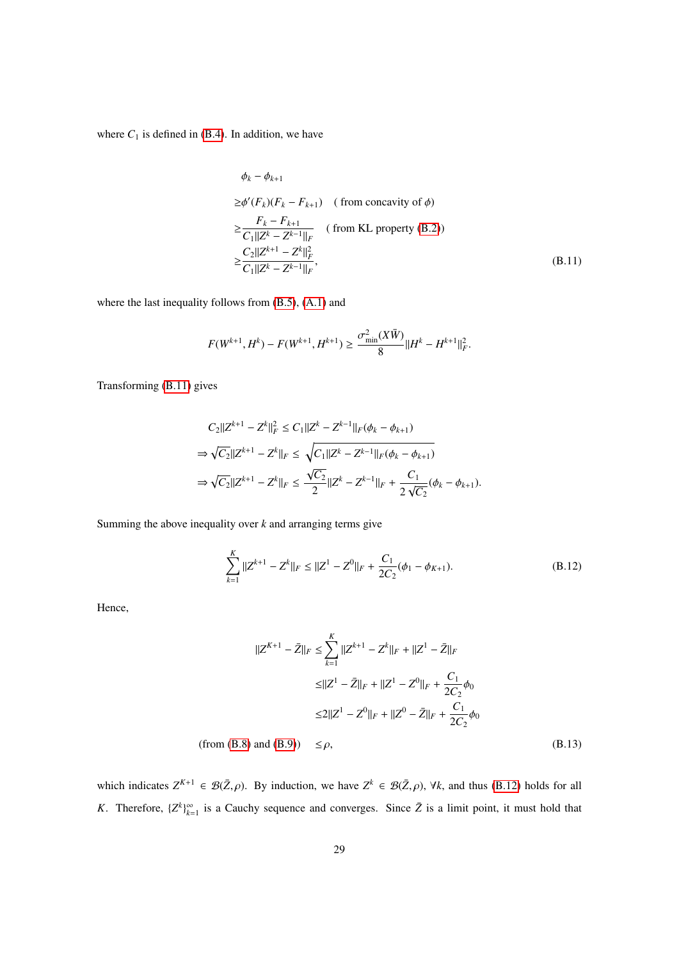where  $C_1$  is defined in [\(B.4\)](#page-26-3). In addition, we have

<span id="page-28-0"></span>
$$
\phi_k - \phi_{k+1}
$$
  
\n
$$
\geq \phi'(F_k)(F_k - F_{k+1}) \quad \text{(from concavity of } \phi\text{)}
$$
  
\n
$$
\geq \frac{F_k - F_{k+1}}{C_1 || Z^k - Z^{k-1} ||_F} \quad \text{(from KL property (B.2))}
$$
  
\n
$$
\geq \frac{C_2 || Z^{k+1} - Z^k ||_F^2}{C_1 || Z^k - Z^{k-1} ||_F}, \quad \text{(B.11)}
$$

where the last inequality follows from [\(B.5\)](#page-26-5), [\(A.1\)](#page-24-0) and

$$
F(W^{k+1}, H^k) - F(W^{k+1}, H^{k+1}) \ge \frac{\sigma_{\min}^2(X\bar{W})}{8} ||H^k - H^{k+1}||_F^2
$$

Transforming [\(B.11\)](#page-28-0) gives

$$
C_2||Z^{k+1} - Z^k||_F^2 \le C_1||Z^k - Z^{k-1}||_F(\phi_k - \phi_{k+1})
$$
  
\n
$$
\Rightarrow \sqrt{C_2}||Z^{k+1} - Z^k||_F \le \sqrt{C_1||Z^k - Z^{k-1}||_F(\phi_k - \phi_{k+1})}
$$
  
\n
$$
\Rightarrow \sqrt{C_2}||Z^{k+1} - Z^k||_F \le \frac{\sqrt{C_2}}{2}||Z^k - Z^{k-1}||_F + \frac{C_1}{2\sqrt{C_2}}(\phi_k - \phi_{k+1}).
$$

Summing the above inequality over *k* and arranging terms give

$$
\sum_{k=1}^{K} ||Z^{k+1} - Z^k||_F \le ||Z^1 - Z^0||_F + \frac{C_1}{2C_2}(\phi_1 - \phi_{K+1}).
$$
\n(B.12)

Hence,

<span id="page-28-1"></span>
$$
||Z^{K+1} - \bar{Z}||_F \le \sum_{k=1}^K ||Z^{k+1} - Z^k||_F + ||Z^1 - \bar{Z}||_F
$$
  
\n
$$
\le ||Z^1 - \bar{Z}||_F + ||Z^1 - Z^0||_F + \frac{C_1}{2C_2}\phi_0
$$
  
\n
$$
\le 2||Z^1 - Z^0||_F + ||Z^0 - \bar{Z}||_F + \frac{C_1}{2C_2}\phi_0
$$

(from [\(B.8\)](#page-27-0) and [\(B.9\)](#page-27-1))  $\leq \rho$ , (B.13)

which indicates  $Z^{K+1} \in \mathcal{B}(\bar{Z}, \rho)$ . By induction, we have  $Z^k \in \mathcal{B}(\bar{Z}, \rho)$ ,  $\forall k$ , and thus [\(B.12\)](#page-28-1) holds for all *K*. Therefore,  $\{Z^k\}_{k=1}^{\infty}$  is a Cauchy sequence and converges. Since  $\bar{Z}$  is a limit point, it must hold that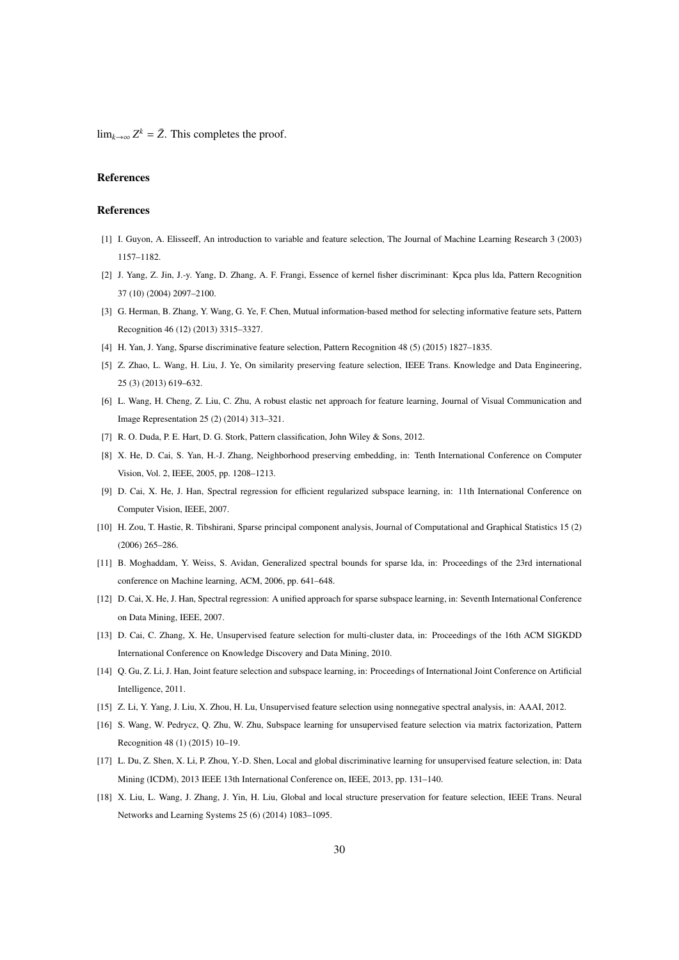lim<sub>*k*→∞</sub>  $Z^k = \overline{Z}$ . This completes the proof.

## References

## References

- <span id="page-29-0"></span>[1] I. Guyon, A. Elisseeff, An introduction to variable and feature selection, The Journal of Machine Learning Research 3 (2003) 1157–1182.
- <span id="page-29-1"></span>[2] J. Yang, Z. Jin, J.-y. Yang, D. Zhang, A. F. Frangi, Essence of kernel fisher discriminant: Kpca plus lda, Pattern Recognition 37 (10) (2004) 2097–2100.
- <span id="page-29-2"></span>[3] G. Herman, B. Zhang, Y. Wang, G. Ye, F. Chen, Mutual information-based method for selecting informative feature sets, Pattern Recognition 46 (12) (2013) 3315–3327.
- <span id="page-29-4"></span><span id="page-29-3"></span>[4] H. Yan, J. Yang, Sparse discriminative feature selection, Pattern Recognition 48 (5) (2015) 1827–1835.
- [5] Z. Zhao, L. Wang, H. Liu, J. Ye, On similarity preserving feature selection, IEEE Trans. Knowledge and Data Engineering, 25 (3) (2013) 619–632.
- <span id="page-29-5"></span>[6] L. Wang, H. Cheng, Z. Liu, C. Zhu, A robust elastic net approach for feature learning, Journal of Visual Communication and Image Representation 25 (2) (2014) 313–321.
- <span id="page-29-7"></span><span id="page-29-6"></span>[7] R. O. Duda, P. E. Hart, D. G. Stork, Pattern classification, John Wiley & Sons, 2012.
- [8] X. He, D. Cai, S. Yan, H.-J. Zhang, Neighborhood preserving embedding, in: Tenth International Conference on Computer Vision, Vol. 2, IEEE, 2005, pp. 1208–1213.
- <span id="page-29-8"></span>[9] D. Cai, X. He, J. Han, Spectral regression for efficient regularized subspace learning, in: 11th International Conference on Computer Vision, IEEE, 2007.
- <span id="page-29-9"></span>[10] H. Zou, T. Hastie, R. Tibshirani, Sparse principal component analysis, Journal of Computational and Graphical Statistics 15 (2) (2006) 265–286.
- <span id="page-29-10"></span>[11] B. Moghaddam, Y. Weiss, S. Avidan, Generalized spectral bounds for sparse lda, in: Proceedings of the 23rd international conference on Machine learning, ACM, 2006, pp. 641–648.
- <span id="page-29-11"></span>[12] D. Cai, X. He, J. Han, Spectral regression: A unified approach for sparse subspace learning, in: Seventh International Conference on Data Mining, IEEE, 2007.
- <span id="page-29-12"></span>[13] D. Cai, C. Zhang, X. He, Unsupervised feature selection for multi-cluster data, in: Proceedings of the 16th ACM SIGKDD International Conference on Knowledge Discovery and Data Mining, 2010.
- <span id="page-29-13"></span>[14] Q. Gu, Z. Li, J. Han, Joint feature selection and subspace learning, in: Proceedings of International Joint Conference on Artificial Intelligence, 2011.
- <span id="page-29-15"></span><span id="page-29-14"></span>[15] Z. Li, Y. Yang, J. Liu, X. Zhou, H. Lu, Unsupervised feature selection using nonnegative spectral analysis, in: AAAI, 2012.
- [16] S. Wang, W. Pedrycz, Q. Zhu, W. Zhu, Subspace learning for unsupervised feature selection via matrix factorization, Pattern Recognition 48 (1) (2015) 10–19.
- <span id="page-29-16"></span>[17] L. Du, Z. Shen, X. Li, P. Zhou, Y.-D. Shen, Local and global discriminative learning for unsupervised feature selection, in: Data Mining (ICDM), 2013 IEEE 13th International Conference on, IEEE, 2013, pp. 131–140.
- <span id="page-29-17"></span>[18] X. Liu, L. Wang, J. Zhang, J. Yin, H. Liu, Global and local structure preservation for feature selection, IEEE Trans. Neural Networks and Learning Systems 25 (6) (2014) 1083–1095.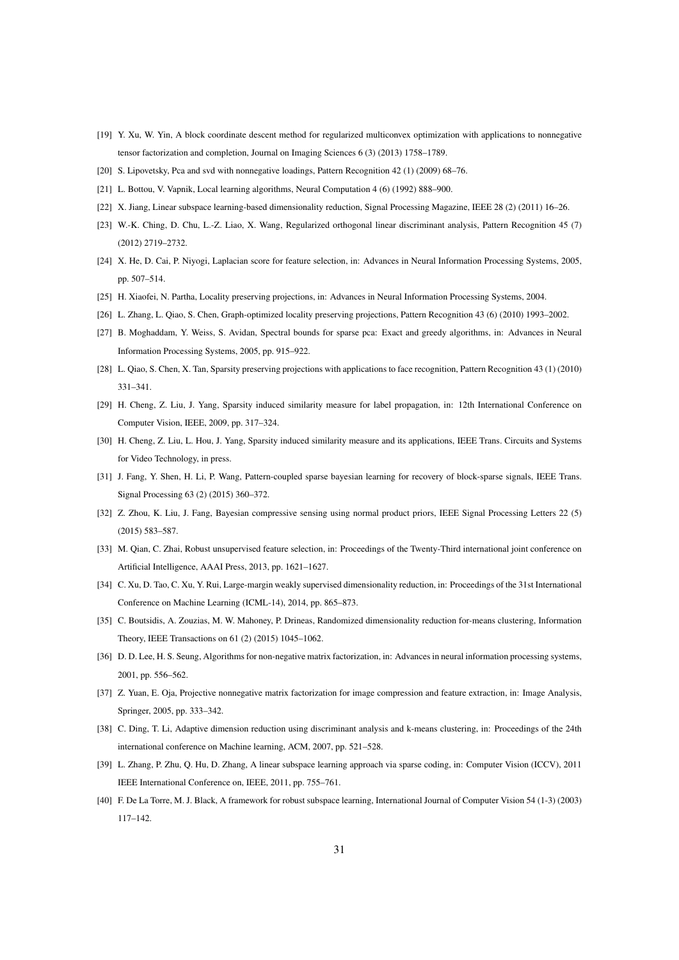- <span id="page-30-0"></span>[19] Y. Xu, W. Yin, A block coordinate descent method for regularized multiconvex optimization with applications to nonnegative tensor factorization and completion, Journal on Imaging Sciences 6 (3) (2013) 1758–1789.
- <span id="page-30-2"></span><span id="page-30-1"></span>[20] S. Lipovetsky, Pca and svd with nonnegative loadings, Pattern Recognition 42 (1) (2009) 68–76.
- <span id="page-30-3"></span>[21] L. Bottou, V. Vapnik, Local learning algorithms, Neural Computation 4 (6) (1992) 888–900.
- <span id="page-30-4"></span>[22] X. Jiang, Linear subspace learning-based dimensionality reduction, Signal Processing Magazine, IEEE 28 (2) (2011) 16–26.
- [23] W.-K. Ching, D. Chu, L.-Z. Liao, X. Wang, Regularized orthogonal linear discriminant analysis, Pattern Recognition 45 (7) (2012) 2719–2732.
- <span id="page-30-5"></span>[24] X. He, D. Cai, P. Niyogi, Laplacian score for feature selection, in: Advances in Neural Information Processing Systems, 2005, pp. 507–514.
- <span id="page-30-7"></span><span id="page-30-6"></span>[25] H. Xiaofei, N. Partha, Locality preserving projections, in: Advances in Neural Information Processing Systems, 2004.
- <span id="page-30-8"></span>[26] L. Zhang, L. Qiao, S. Chen, Graph-optimized locality preserving projections, Pattern Recognition 43 (6) (2010) 1993–2002.
- [27] B. Moghaddam, Y. Weiss, S. Avidan, Spectral bounds for sparse pca: Exact and greedy algorithms, in: Advances in Neural Information Processing Systems, 2005, pp. 915–922.
- <span id="page-30-9"></span>[28] L. Qiao, S. Chen, X. Tan, Sparsity preserving projections with applications to face recognition, Pattern Recognition 43 (1) (2010) 331–341.
- <span id="page-30-10"></span>[29] H. Cheng, Z. Liu, J. Yang, Sparsity induced similarity measure for label propagation, in: 12th International Conference on Computer Vision, IEEE, 2009, pp. 317–324.
- <span id="page-30-11"></span>[30] H. Cheng, Z. Liu, L. Hou, J. Yang, Sparsity induced similarity measure and its applications, IEEE Trans. Circuits and Systems for Video Technology, in press.
- <span id="page-30-12"></span>[31] J. Fang, Y. Shen, H. Li, P. Wang, Pattern-coupled sparse bayesian learning for recovery of block-sparse signals, IEEE Trans. Signal Processing 63 (2) (2015) 360–372.
- <span id="page-30-13"></span>[32] Z. Zhou, K. Liu, J. Fang, Bayesian compressive sensing using normal product priors, IEEE Signal Processing Letters 22 (5) (2015) 583–587.
- <span id="page-30-14"></span>[33] M. Qian, C. Zhai, Robust unsupervised feature selection, in: Proceedings of the Twenty-Third international joint conference on Artificial Intelligence, AAAI Press, 2013, pp. 1621–1627.
- <span id="page-30-15"></span>[34] C. Xu, D. Tao, C. Xu, Y. Rui, Large-margin weakly supervised dimensionality reduction, in: Proceedings of the 31st International Conference on Machine Learning (ICML-14), 2014, pp. 865–873.
- <span id="page-30-16"></span>[35] C. Boutsidis, A. Zouzias, M. W. Mahoney, P. Drineas, Randomized dimensionality reduction for-means clustering, Information Theory, IEEE Transactions on 61 (2) (2015) 1045–1062.
- <span id="page-30-17"></span>[36] D. D. Lee, H. S. Seung, Algorithms for non-negative matrix factorization, in: Advances in neural information processing systems, 2001, pp. 556–562.
- <span id="page-30-18"></span>[37] Z. Yuan, E. Oja, Projective nonnegative matrix factorization for image compression and feature extraction, in: Image Analysis, Springer, 2005, pp. 333–342.
- <span id="page-30-19"></span>[38] C. Ding, T. Li, Adaptive dimension reduction using discriminant analysis and k-means clustering, in: Proceedings of the 24th international conference on Machine learning, ACM, 2007, pp. 521–528.
- <span id="page-30-20"></span>[39] L. Zhang, P. Zhu, Q. Hu, D. Zhang, A linear subspace learning approach via sparse coding, in: Computer Vision (ICCV), 2011 IEEE International Conference on, IEEE, 2011, pp. 755–761.
- <span id="page-30-21"></span>[40] F. De La Torre, M. J. Black, A framework for robust subspace learning, International Journal of Computer Vision 54 (1-3) (2003) 117–142.